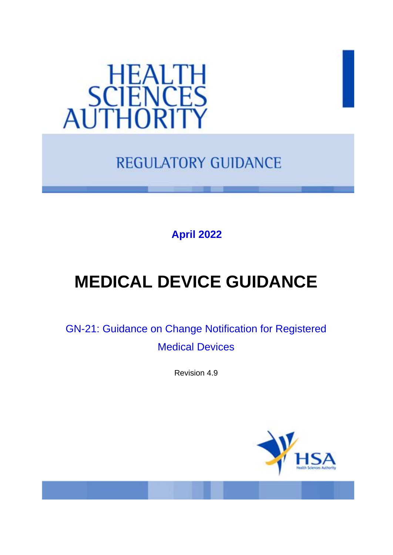

# **REGULATORY GUIDANCE**

**April 2022**

# **MEDICAL DEVICE GUIDANCE**

GN-21: Guidance on Change Notification for Registered Medical Devices

Revision 4.9

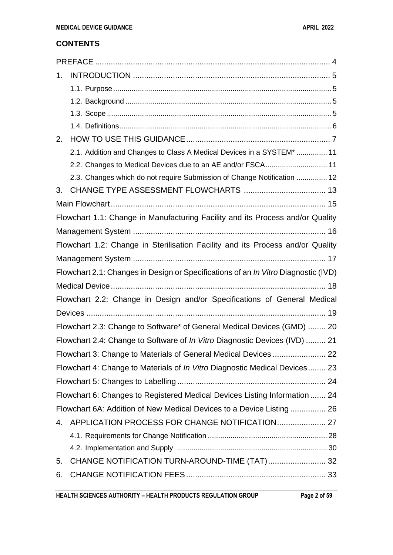# **CONTENTS**

| 1. |                                                                                    |
|----|------------------------------------------------------------------------------------|
|    |                                                                                    |
|    |                                                                                    |
|    |                                                                                    |
|    |                                                                                    |
| 2. |                                                                                    |
|    | 2.1. Addition and Changes to Class A Medical Devices in a SYSTEM*  11              |
|    | 2.2. Changes to Medical Devices due to an AE and/or FSCA 11                        |
|    | 2.3. Changes which do not require Submission of Change Notification  12            |
| 3. |                                                                                    |
|    |                                                                                    |
|    | Flowchart 1.1: Change in Manufacturing Facility and its Process and/or Quality     |
|    |                                                                                    |
|    | Flowchart 1.2: Change in Sterilisation Facility and its Process and/or Quality     |
|    |                                                                                    |
|    | Flowchart 2.1: Changes in Design or Specifications of an In Vitro Diagnostic (IVD) |
|    |                                                                                    |
|    | Flowchart 2.2: Change in Design and/or Specifications of General Medical           |
|    |                                                                                    |
|    | Flowchart 2.3: Change to Software* of General Medical Devices (GMD)  20            |
|    | Flowchart 2.4: Change to Software of In Vitro Diagnostic Devices (IVD)  21         |
|    |                                                                                    |
|    | Flowchart 4: Change to Materials of <i>In Vitro</i> Diagnostic Medical Devices 23  |
|    |                                                                                    |
|    | Flowchart 6: Changes to Registered Medical Devices Listing Information  24         |
|    | Flowchart 6A: Addition of New Medical Devices to a Device Listing  26              |
| 4. |                                                                                    |
|    |                                                                                    |
|    |                                                                                    |
| 5. |                                                                                    |
| 6. |                                                                                    |
|    |                                                                                    |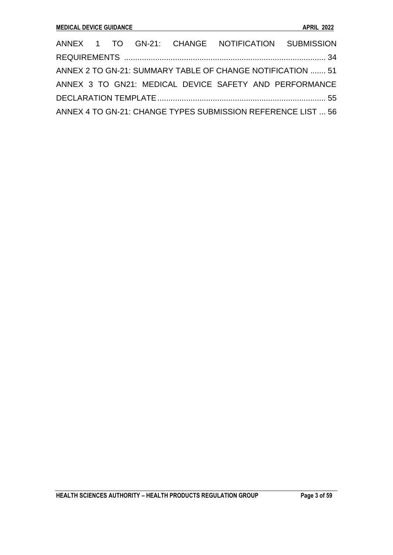|  |  | ANNEX 1 TO GN-21: CHANGE NOTIFICATION SUBMISSION             |  |  |
|--|--|--------------------------------------------------------------|--|--|
|  |  |                                                              |  |  |
|  |  | ANNEX 2 TO GN-21: SUMMARY TABLE OF CHANGE NOTIFICATION  51   |  |  |
|  |  | ANNEX 3 TO GN21: MEDICAL DEVICE SAFETY AND PERFORMANCE       |  |  |
|  |  |                                                              |  |  |
|  |  | ANNEX 4 TO GN-21: CHANGE TYPES SUBMISSION REFERENCE LIST  56 |  |  |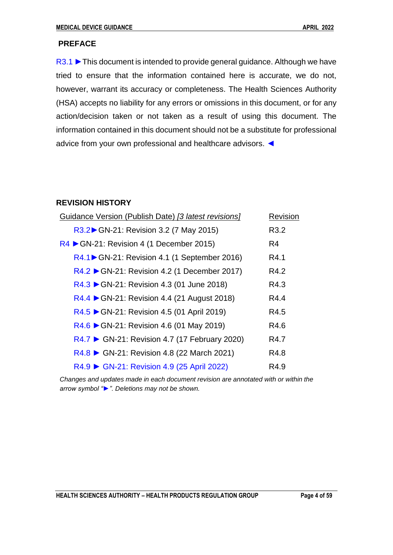# <span id="page-3-0"></span>**PREFACE**

R3.1 ► This document is intended to provide general guidance. Although we have tried to ensure that the information contained here is accurate, we do not, however, warrant its accuracy or completeness. The Health Sciences Authority (HSA) accepts no liability for any errors or omissions in this document, or for any action/decision taken or not taken as a result of using this document. The information contained in this document should not be a substitute for professional advice from your own professional and healthcare advisors. ◄

# **REVISION HISTORY**

| Guidance Version (Publish Date) [3 latest revisions]    | Revision       |
|---------------------------------------------------------|----------------|
| R3.2▶ GN-21: Revision 3.2 (7 May 2015)                  | R3.2           |
| $RA \triangleright$ GN-21: Revision 4 (1 December 2015) | R <sub>4</sub> |
| R4.1 GN-21: Revision 4.1 (1 September 2016)             | R4.1           |
| R4.2 ▶ GN-21: Revision 4.2 (1 December 2017)            | R4.2           |
| R4.3 ▶ GN-21: Revision 4.3 (01 June 2018)               | R4.3           |
| R4.4 ► GN-21: Revision 4.4 (21 August 2018)             | R4.4           |
| R4.5 ► GN-21: Revision 4.5 (01 April 2019)              | R4.5           |
| $R4.6$ GN-21: Revision 4.6 (01 May 2019)                | R4.6           |
| R4.7 ▶ GN-21: Revision 4.7 (17 February 2020)           | R4.7           |
| R4.8 ► GN-21: Revision 4.8 (22 March 2021)              | R4.8           |
| R4.9 ► GN-21: Revision 4.9 (25 April 2022)              | R4.9           |

*Changes and updates made in each document revision are annotated with or within the arrow symbol "►". Deletions may not be shown.*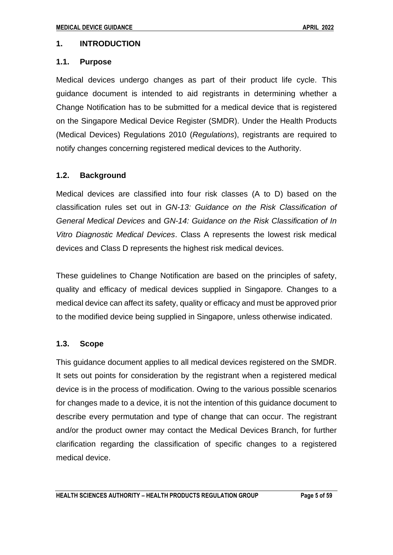# <span id="page-4-0"></span>**1. INTRODUCTION**

# <span id="page-4-1"></span>**1.1. Purpose**

Medical devices undergo changes as part of their product life cycle. This guidance document is intended to aid registrants in determining whether a Change Notification has to be submitted for a medical device that is registered on the Singapore Medical Device Register (SMDR). Under the Health Products (Medical Devices) Regulations 2010 (*Regulations*), registrants are required to notify changes concerning registered medical devices to the Authority.

# <span id="page-4-2"></span>**1.2. Background**

Medical devices are classified into four risk classes (A to D) based on the classification rules set out in *GN-13: Guidance on the Risk Classification of General Medical Devices* and *GN-14: Guidance on the Risk Classification of In Vitro Diagnostic Medical Devices*. Class A represents the lowest risk medical devices and Class D represents the highest risk medical devices.

These guidelines to Change Notification are based on the principles of safety, quality and efficacy of medical devices supplied in Singapore. Changes to a medical device can affect its safety, quality or efficacy and must be approved prior to the modified device being supplied in Singapore, unless otherwise indicated.

# <span id="page-4-3"></span>**1.3. Scope**

This guidance document applies to all medical devices registered on the SMDR. It sets out points for consideration by the registrant when a registered medical device is in the process of modification. Owing to the various possible scenarios for changes made to a device, it is not the intention of this guidance document to describe every permutation and type of change that can occur. The registrant and/or the product owner may contact the Medical Devices Branch, for further clarification regarding the classification of specific changes to a registered medical device.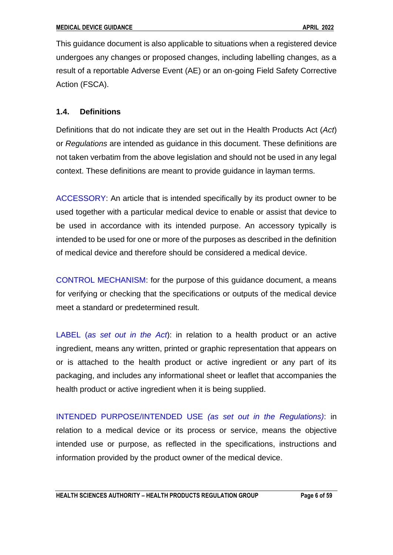This guidance document is also applicable to situations when a registered device undergoes any changes or proposed changes, including labelling changes, as a result of a reportable Adverse Event (AE) or an on-going Field Safety Corrective Action (FSCA).

# <span id="page-5-0"></span>**1.4. Definitions**

Definitions that do not indicate they are set out in the Health Products Act (*Act*) or *Regulations* are intended as guidance in this document. These definitions are not taken verbatim from the above legislation and should not be used in any legal context. These definitions are meant to provide guidance in layman terms.

ACCESSORY: An article that is intended specifically by its product owner to be used together with a particular medical device to enable or assist that device to be used in accordance with its intended purpose. An accessory typically is intended to be used for one or more of the purposes as described in the definition of medical device and therefore should be considered a medical device.

CONTROL MECHANISM: for the purpose of this guidance document, a means for verifying or checking that the specifications or outputs of the medical device meet a standard or predetermined result.

LABEL (*as set out in the Act*): in relation to a health product or an active ingredient, means any written, printed or graphic representation that appears on or is attached to the health product or active ingredient or any part of its packaging, and includes any informational sheet or leaflet that accompanies the health product or active ingredient when it is being supplied.

INTENDED PURPOSE/INTENDED USE *(as set out in the Regulations)*: in relation to a medical device or its process or service, means the objective intended use or purpose, as reflected in the specifications, instructions and information provided by the product owner of the medical device.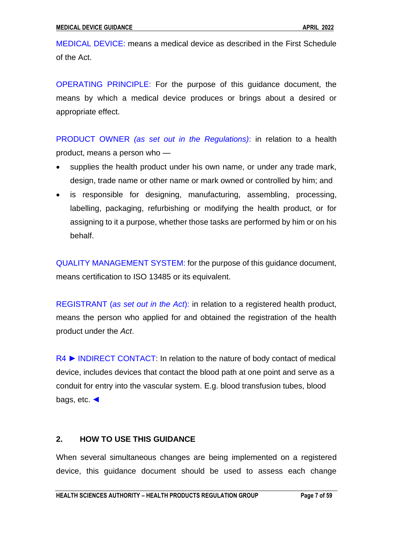MEDICAL DEVICE: means a medical device as described in the First Schedule of the Act.

OPERATING PRINCIPLE: For the purpose of this guidance document, the means by which a medical device produces or brings about a desired or appropriate effect.

PRODUCT OWNER *(as set out in the Regulations)*: in relation to a health product, means a person who —

- supplies the health product under his own name, or under any trade mark, design, trade name or other name or mark owned or controlled by him; and
- is responsible for designing, manufacturing, assembling, processing, labelling, packaging, refurbishing or modifying the health product, or for assigning to it a purpose, whether those tasks are performed by him or on his behalf.

QUALITY MANAGEMENT SYSTEM: for the purpose of this guidance document, means certification to ISO 13485 or its equivalent.

REGISTRANT (*as set out in the Act*): in relation to a registered health product, means the person who applied for and obtained the registration of the health product under the *Act*.

R4 ► INDIRECT CONTACT: In relation to the nature of body contact of medical device, includes devices that contact the blood path at one point and serve as a conduit for entry into the vascular system. E.g. blood transfusion tubes, blood bags, etc. ◄

# <span id="page-6-0"></span>**2. HOW TO USE THIS GUIDANCE**

When several simultaneous changes are being implemented on a registered device, this guidance document should be used to assess each change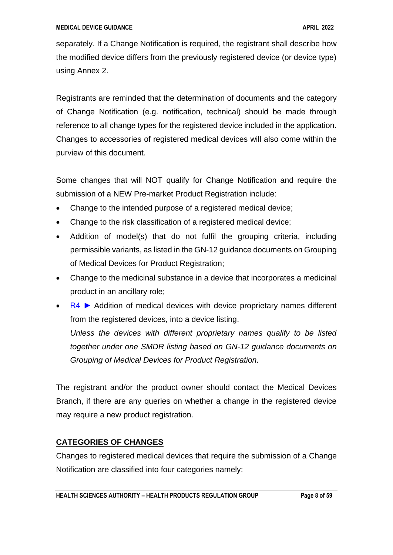separately. If a Change Notification is required, the registrant shall describe how the modified device differs from the previously registered device (or device type) using Annex 2.

Registrants are reminded that the determination of documents and the category of Change Notification (e.g. notification, technical) should be made through reference to all change types for the registered device included in the application. Changes to accessories of registered medical devices will also come within the purview of this document.

Some changes that will NOT qualify for Change Notification and require the submission of a NEW Pre-market Product Registration include:

- Change to the intended purpose of a registered medical device;
- Change to the risk classification of a registered medical device;
- Addition of model(s) that do not fulfil the grouping criteria, including permissible variants, as listed in the GN-12 guidance documents on Grouping of Medical Devices for Product Registration;
- Change to the medicinal substance in a device that incorporates a medicinal product in an ancillary role;
- R4 ► Addition of medical devices with device proprietary names different from the registered devices, into a device listing.

*Unless the devices with different proprietary names qualify to be listed together under one SMDR listing based on GN-12 guidance documents on Grouping of Medical Devices for Product Registration.* 

The registrant and/or the product owner should contact the Medical Devices Branch, if there are any queries on whether a change in the registered device may require a new product registration.

# **CATEGORIES OF CHANGES**

Changes to registered medical devices that require the submission of a Change Notification are classified into four categories namely: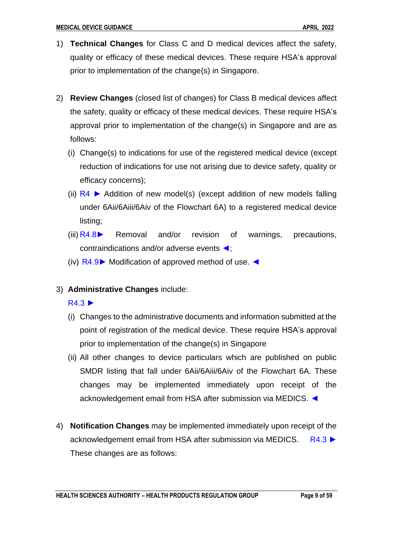- 1) **Technical Changes** for Class C and D medical devices affect the safety, quality or efficacy of these medical devices. These require HSA's approval prior to implementation of the change(s) in Singapore.
- 2) **Review Changes** (closed list of changes) for Class B medical devices affect the safety, quality or efficacy of these medical devices. These require HSA's approval prior to implementation of the change(s) in Singapore and are as follows:
	- (i) Change(s) to indications for use of the registered medical device (except reduction of indications for use not arising due to device safety, quality or efficacy concerns);
	- (ii)  $R4$   $\triangleright$  Addition of new model(s) (except addition of new models falling under 6Aii/6Aiii/6Aiv of the Flowchart 6A) to a registered medical device listing;
	- (iii)  $R4.8$  Removal and/or revision of warnings, precautions, contraindications and/or adverse events ◄;
	- (iv) R4.9► Modification of approved method of use. ◄
- 3) **Administrative Changes** include:

R4.3 ►

- (i) Changes to the administrative documents and information submitted at the point of registration of the medical device. These require HSA's approval prior to implementation of the change(s) in Singapore
- (ii) All other changes to device particulars which are published on public SMDR listing that fall under 6Aii/6Aiii/6Aiv of the Flowchart 6A. These changes may be implemented immediately upon receipt of the acknowledgement email from HSA after submission via MEDICS. ◄
- 4) **Notification Changes** may be implemented immediately upon receipt of the acknowledgement email from HSA after submission via MEDICS. R4.3 ► These changes are as follows: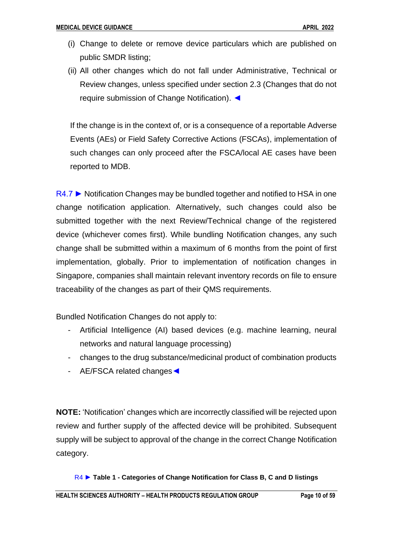- (i) Change to delete or remove device particulars which are published on public SMDR listing;
- (ii) All other changes which do not fall under Administrative, Technical or Review changes, unless specified under section 2.3 (Changes that do not require submission of Change Notification). ◄

If the change is in the context of, or is a consequence of a reportable Adverse Events (AEs) or Field Safety Corrective Actions (FSCAs), implementation of such changes can only proceed after the FSCA/local AE cases have been reported to MDB.

R4.7 ► Notification Changes may be bundled together and notified to HSA in one change notification application. Alternatively, such changes could also be submitted together with the next Review/Technical change of the registered device (whichever comes first). While bundling Notification changes, any such change shall be submitted within a maximum of 6 months from the point of first implementation, globally. Prior to implementation of notification changes in Singapore, companies shall maintain relevant inventory records on file to ensure traceability of the changes as part of their QMS requirements.

Bundled Notification Changes do not apply to:

- Artificial Intelligence (AI) based devices (e.g. machine learning, neural networks and natural language processing)
- changes to the drug substance/medicinal product of combination products
- AE/FSCA related changes◄

**NOTE:** 'Notification' changes which are incorrectly classified will be rejected upon review and further supply of the affected device will be prohibited. Subsequent supply will be subject to approval of the change in the correct Change Notification category.

R4 ► **Table 1 - Categories of Change Notification for Class B, C and D listings**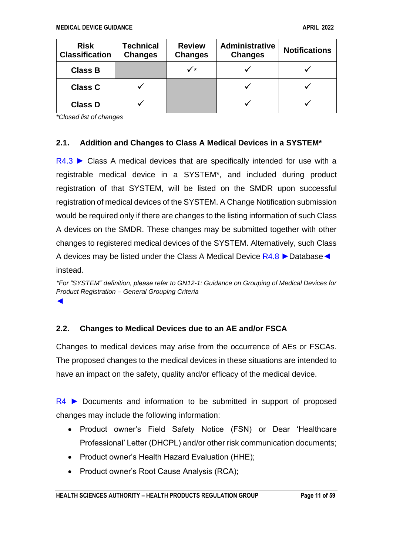| <b>Risk</b><br><b>Classification</b> | <b>Technical</b><br><b>Changes</b> | <b>Review</b><br><b>Changes</b> | <b>Administrative</b><br><b>Changes</b> | <b>Notifications</b> |
|--------------------------------------|------------------------------------|---------------------------------|-----------------------------------------|----------------------|
| <b>Class B</b>                       |                                    | ✓∗                              |                                         |                      |
| <b>Class C</b>                       |                                    |                                 |                                         |                      |
| <b>Class D</b>                       |                                    |                                 |                                         |                      |

*\*Closed list of changes*

# <span id="page-10-0"></span>**2.1. Addition and Changes to Class A Medical Devices in a SYSTEM\***

R4.3 ► Class A medical devices that are specifically intended for use with a registrable medical device in a SYSTEM\*, and included during product registration of that SYSTEM, will be listed on the SMDR upon successful registration of medical devices of the SYSTEM. A Change Notification submission would be required only if there are changes to the listing information of such Class A devices on the SMDR. These changes may be submitted together with other changes to registered medical devices of the SYSTEM. Alternatively, such Class A devices may be listed under the Class A Medical Device R4.8 ►Database**◄** instead.

*\*For "SYSTEM" definition, please refer to GN12-1: Guidance on Grouping of Medical Devices for Product Registration – General Grouping Criteria* **◄**

# <span id="page-10-1"></span>**2.2. Changes to Medical Devices due to an AE and/or FSCA**

Changes to medical devices may arise from the occurrence of AEs or FSCAs. The proposed changes to the medical devices in these situations are intended to have an impact on the safety, quality and/or efficacy of the medical device.

 $R4$   $\triangleright$  Documents and information to be submitted in support of proposed changes may include the following information:

- Product owner's Field Safety Notice (FSN) or Dear 'Healthcare Professional' Letter (DHCPL) and/or other risk communication documents;
- Product owner's Health Hazard Evaluation (HHE);
- Product owner's Root Cause Analysis (RCA);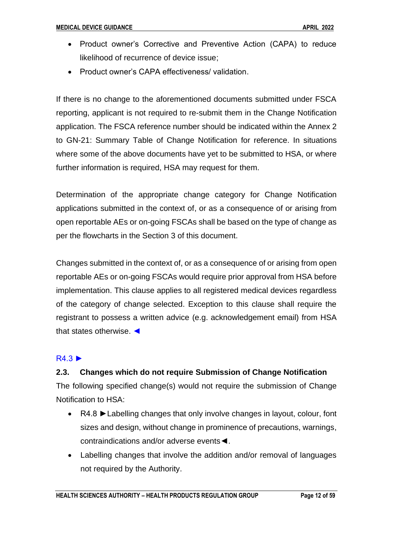- Product owner's Corrective and Preventive Action (CAPA) to reduce likelihood of recurrence of device issue;
- Product owner's CAPA effectiveness/ validation.

If there is no change to the aforementioned documents submitted under FSCA reporting, applicant is not required to re-submit them in the Change Notification application. The FSCA reference number should be indicated within the Annex 2 to GN-21: Summary Table of Change Notification for reference. In situations where some of the above documents have yet to be submitted to HSA, or where further information is required, HSA may request for them.

Determination of the appropriate change category for Change Notification applications submitted in the context of, or as a consequence of or arising from open reportable AEs or on-going FSCAs shall be based on the type of change as per the flowcharts in the Section 3 of this document.

Changes submitted in the context of, or as a consequence of or arising from open reportable AEs or on-going FSCAs would require prior approval from HSA before implementation. This clause applies to all registered medical devices regardless of the category of change selected. Exception to this clause shall require the registrant to possess a written advice (e.g. acknowledgement email) from HSA that states otherwise. ◄

# R4.3 ►

# <span id="page-11-0"></span>**2.3. Changes which do not require Submission of Change Notification**

The following specified change(s) would not require the submission of Change Notification to HSA:

- R4.8 ►Labelling changes that only involve changes in layout, colour, font sizes and design, without change in prominence of precautions, warnings, contraindications and/or adverse events◄.
- Labelling changes that involve the addition and/or removal of languages not required by the Authority.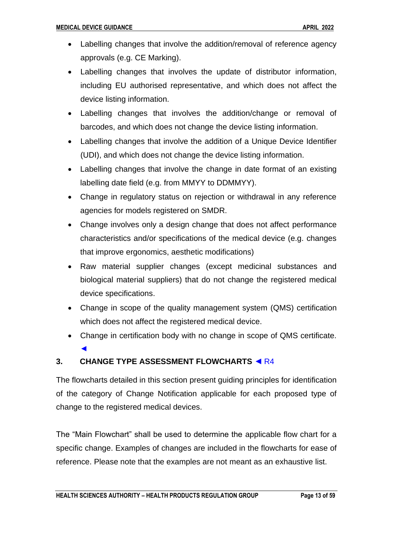- Labelling changes that involve the addition/removal of reference agency approvals (e.g. CE Marking).
- Labelling changes that involves the update of distributor information, including EU authorised representative, and which does not affect the device listing information.
- Labelling changes that involves the addition/change or removal of barcodes, and which does not change the device listing information.
- Labelling changes that involve the addition of a Unique Device Identifier (UDI), and which does not change the device listing information.
- Labelling changes that involve the change in date format of an existing labelling date field (e.g. from MMYY to DDMMYY).
- Change in regulatory status on rejection or withdrawal in any reference agencies for models registered on SMDR.
- Change involves only a design change that does not affect performance characteristics and/or specifications of the medical device (e.g. changes that improve ergonomics, aesthetic modifications)
- Raw material supplier changes (except medicinal substances and biological material suppliers) that do not change the registered medical device specifications.
- Change in scope of the quality management system (QMS) certification which does not affect the registered medical device.
- Change in certification body with no change in scope of QMS certificate. ◄

# <span id="page-12-0"></span>**3. CHANGE TYPE ASSESSMENT FLOWCHARTS** ◄ R4

The flowcharts detailed in this section present guiding principles for identification of the category of Change Notification applicable for each proposed type of change to the registered medical devices.

The "Main Flowchart" shall be used to determine the applicable flow chart for a specific change. Examples of changes are included in the flowcharts for ease of reference. Please note that the examples are not meant as an exhaustive list.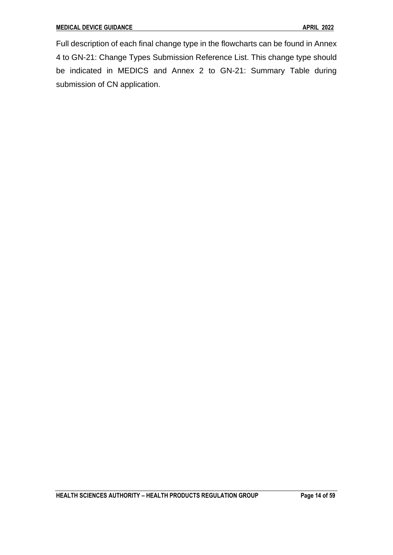Full description of each final change type in the flowcharts can be found in Annex 4 to GN-21: Change Types Submission Reference List. This change type should be indicated in MEDICS and Annex 2 to GN-21: Summary Table during submission of CN application.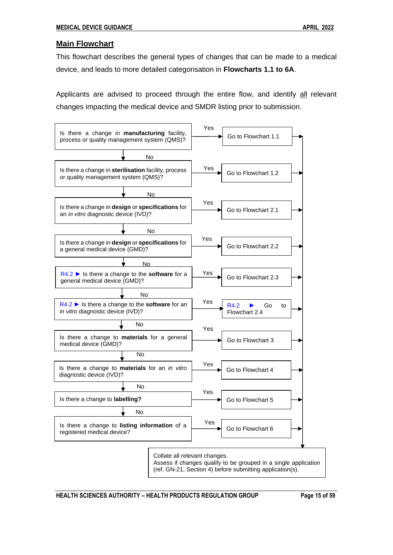#### <span id="page-14-0"></span>**Main Flowchart**

This flowchart describes the general types of changes that can be made to a medical device, and leads to more detailed categorisation in **Flowcharts 1.1 to 6A**.

Applicants are advised to proceed through the entire flow, and identify all relevant changes impacting the medical device and SMDR listing prior to submission.



**HEALTH SCIENCES AUTHORITY – HEALTH PRODUCTS REGULATION GROUP Page 15 of 59**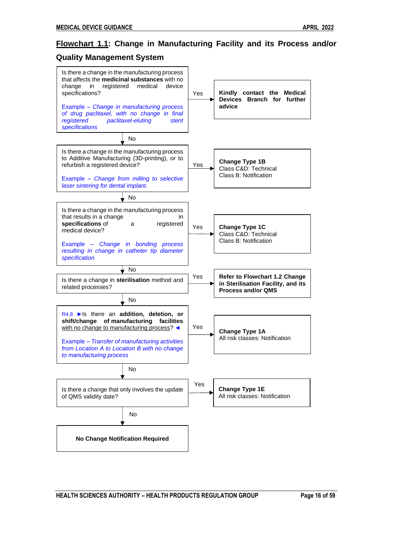# <span id="page-15-0"></span>**Flowchart 1.1: Change in Manufacturing Facility and its Process and/or**

### **Quality Management System**

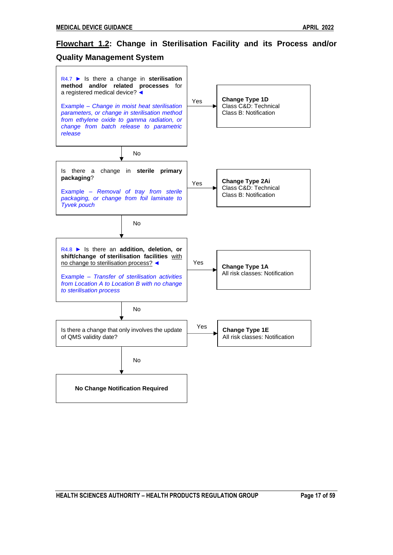# <span id="page-16-0"></span>**Flowchart 1.2: Change in Sterilisation Facility and its Process and/or**

#### **Quality Management System**

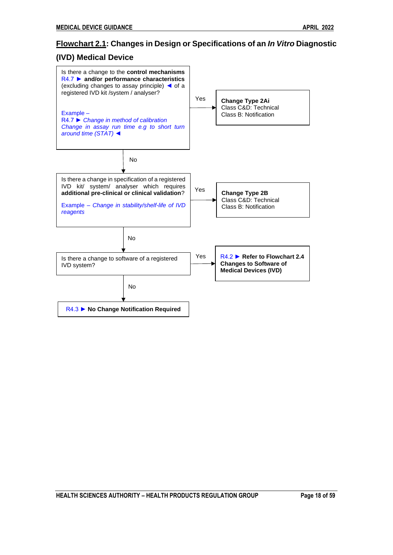# <span id="page-17-0"></span>**Flowchart 2.1: Changes in Design or Specifications of an** *In Vitro* **Diagnostic**

# **(IVD) Medical Device**

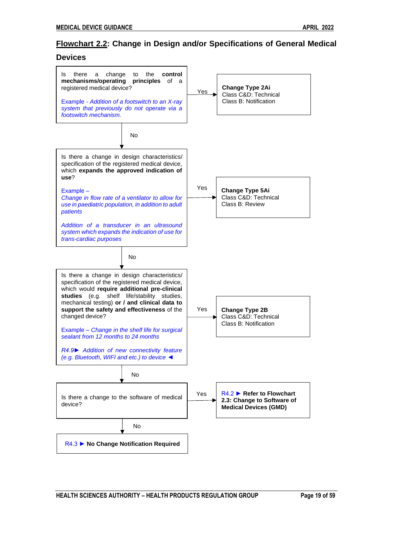# <span id="page-18-0"></span>**Flowchart 2.2: Change in Design and/or Specifications of General Medical**

#### **Devices**



**HEALTH SCIENCES AUTHORITY – HEALTH PRODUCTS REGULATION GROUP Page 19 of 59**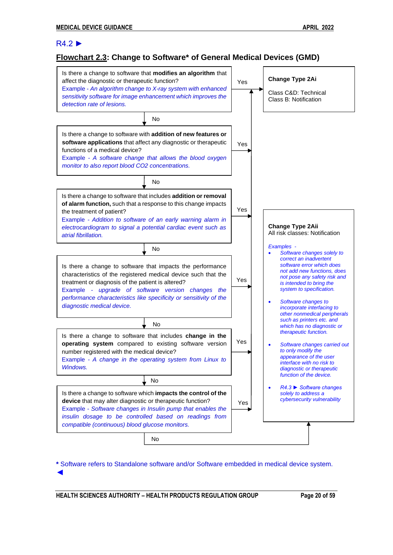#### R4.2 ►

# <span id="page-19-0"></span>**Flowchart 2.3: Change to Software\* of General Medical Devices (GMD)**



**\*** Software refers to Standalone software and/or Software embedded in medical device system. ◄

**HEALTH SCIENCES AUTHORITY – HEALTH PRODUCTS REGULATION GROUP Page 20 of 59**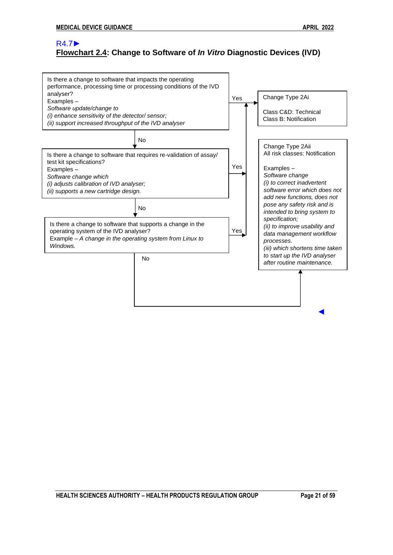# <span id="page-20-0"></span>R4.7► **Flowchart 2.4: Change to Software of** *In Vitro* **Diagnostic Devices (IVD)**

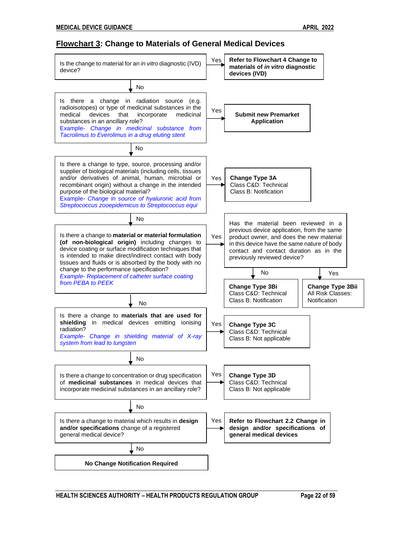#### <span id="page-21-0"></span>**Flowchart 3: Change to Materials of General Medical Devices**



**HEALTH SCIENCES AUTHORITY – HEALTH PRODUCTS REGULATION GROUP Page 22 of 59**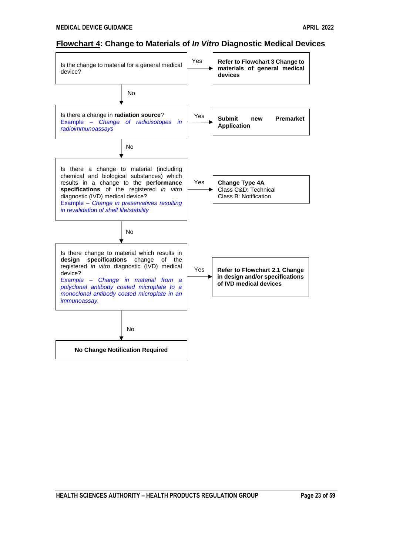# <span id="page-22-0"></span>**Flowchart 4: Change to Materials of** *In Vitro* **Diagnostic Medical Devices**

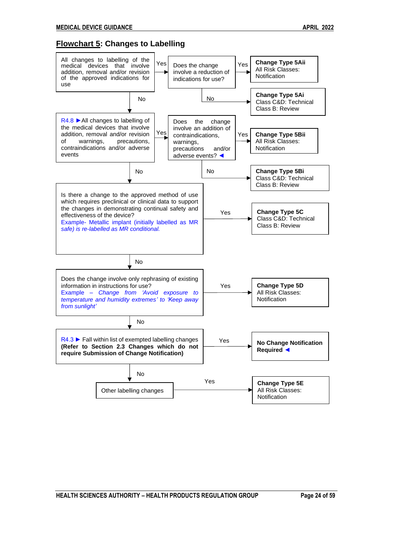## <span id="page-23-0"></span>**Flowchart 5: Changes to Labelling**

<span id="page-23-1"></span>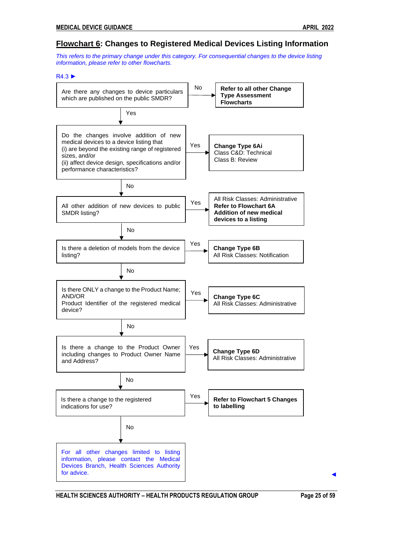#### **Flowchart 6: Changes to Registered Medical Devices Listing Information**

*This refers to the primary change under this category. For consequential changes to the device listing information, please refer to other flowcharts.*

#### R4.3 ►



**HEALTH SCIENCES AUTHORITY – HEALTH PRODUCTS REGULATION GROUP Page 25 of 59**

◄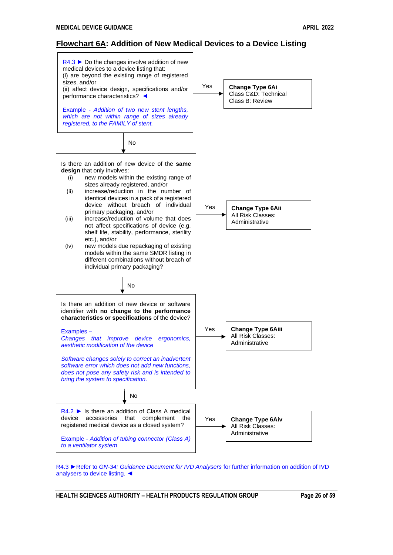#### <span id="page-25-0"></span>**Flowchart 6A: Addition of New Medical Devices to a Device Listing**



R4.3 ►Refer to *GN-34: Guidance Document for IVD Analysers* for further information on addition of IVD analysers to device listing. ◄

**HEALTH SCIENCES AUTHORITY – HEALTH PRODUCTS REGULATION GROUP Page 26 of 59**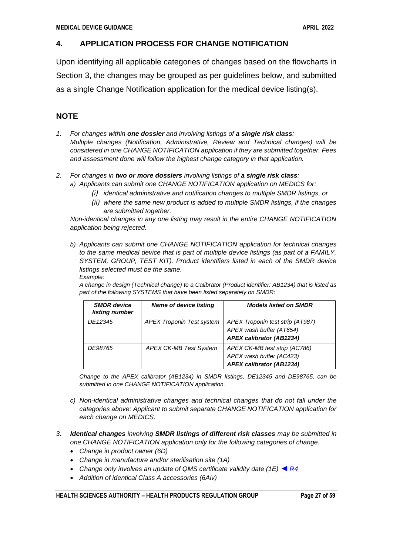# <span id="page-26-0"></span>**4. APPLICATION PROCESS FOR CHANGE NOTIFICATION**

Upon identifying all applicable categories of changes based on the flowcharts in Section 3, the changes may be grouped as per guidelines below, and submitted as a single Change Notification application for the medical device listing(s).

# **NOTE**

- *1. For changes within one dossier and involving listings of a single risk class: Multiple changes (Notification, Administrative, Review and Technical changes) will be considered in one CHANGE NOTIFICATION application if they are submitted together. Fees and assessment done will follow the highest change category in that application.*
- *2. For changes in two or more dossiers involving listings of a single risk class: a) Applicants can submit one CHANGE NOTIFICATION application on MEDICS for:*
	-
	- *(i) identical administrative and notification changes to multiple SMDR listings, or*
	- *(ii) where the same new product is added to multiple SMDR listings, if the changes are submitted together.*

*Non-identical changes in any one listing may result in the entire CHANGE NOTIFICATION application being rejected.*

*b) Applicants can submit one CHANGE NOTIFICATION application for technical changes to the same medical device that is part of multiple device listings (as part of a FAMILY, SYSTEM, GROUP, TEST KIT). Product identifiers listed in each of the SMDR device listings selected must be the same. Example:*

*A change in design (Technical change) to a Calibrator (Product identifier: AB1234) that is listed as part of the following SYSTEMS that have been listed separately on SMDR:*

| <b>SMDR</b> device<br>listing number | <b>Name of device listing</b>    | <b>Models listed on SMDR</b>                                                                    |
|--------------------------------------|----------------------------------|-------------------------------------------------------------------------------------------------|
| DE12345                              | <b>APEX Troponin Test system</b> | APEX Troponin test strip (AT987)<br>APEX wash buffer (AT654)<br><b>APEX calibrator (AB1234)</b> |
| DE98765                              | <b>APEX CK-MB Test System</b>    | APEX CK-MB test strip (AC786)<br>APEX wash buffer (AC423)<br><b>APEX calibrator (AB1234)</b>    |

*Change to the APEX calibrator (AB1234) in SMDR listings, DE12345 and DE98765, can be submitted in one CHANGE NOTIFICATION application.*

- *c) Non-identical administrative changes and technical changes that do not fall under the categories above: Applicant to submit separate CHANGE NOTIFICATION application for each change on MEDICS.*
- *3. Identical changes involving SMDR listings of different risk classes may be submitted in one CHANGE NOTIFICATION application only for the following categories of change.*
	- *Change in product owner (6D)*
	- *Change in manufacture and/or sterilisation site (1A)*
	- *Change only involves an update of QMS certificate validity date (1E)* ◄ *R4*
	- *Addition of identical Class A accessories (6Aiv)*

**HEALTH SCIENCES AUTHORITY – HEALTH PRODUCTS REGULATION GROUP Page 27 of 59**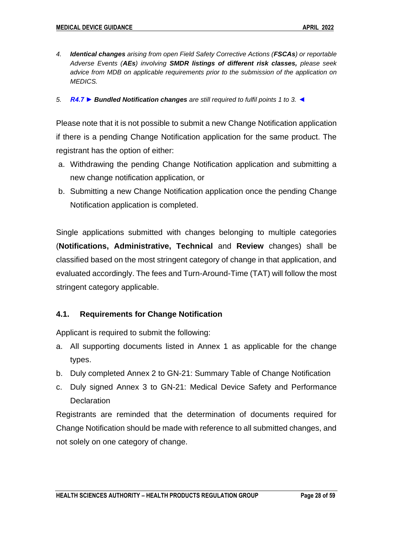- *4. Identical changes arising from open Field Safety Corrective Actions (FSCAs) or reportable Adverse Events (AEs) involving SMDR listings of different risk classes, please seek advice from MDB on applicable requirements prior to the submission of the application on MEDICS.*
- *5. R4.7 ► Bundled Notification changes are still required to fulfil points 1 to 3.* ◄

Please note that it is not possible to submit a new Change Notification application if there is a pending Change Notification application for the same product. The registrant has the option of either:

- a. Withdrawing the pending Change Notification application and submitting a new change notification application, or
- b. Submitting a new Change Notification application once the pending Change Notification application is completed.

Single applications submitted with changes belonging to multiple categories (**Notifications, Administrative, Technical** and **Review** changes) shall be classified based on the most stringent category of change in that application, and evaluated accordingly. The fees and Turn-Around-Time (TAT) will follow the most stringent category applicable.

# <span id="page-27-0"></span>**4.1. Requirements for Change Notification**

Applicant is required to submit the following:

- a. All supporting documents listed in Annex 1 as applicable for the change types.
- b. Duly completed Annex 2 to GN-21: Summary Table of Change Notification
- c. Duly signed Annex 3 to GN-21: Medical Device Safety and Performance **Declaration**

Registrants are reminded that the determination of documents required for Change Notification should be made with reference to all submitted changes, and not solely on one category of change.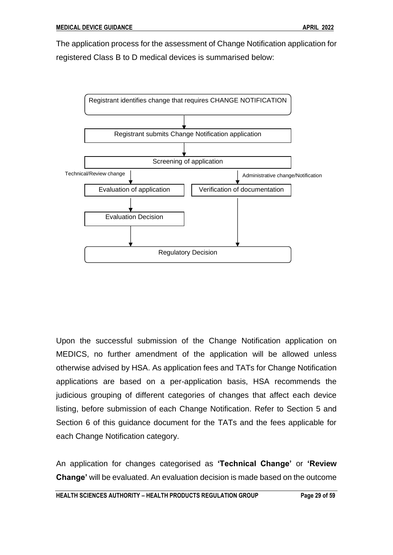The application process for the assessment of Change Notification application for registered Class B to D medical devices is summarised below:



Upon the successful submission of the Change Notification application on MEDICS, no further amendment of the application will be allowed unless otherwise advised by HSA. As application fees and TATs for Change Notification applications are based on a per-application basis, HSA recommends the judicious grouping of different categories of changes that affect each device listing, before submission of each Change Notification. Refer to Section 5 and Section 6 of this guidance document for the TATs and the fees applicable for each Change Notification category.

An application for changes categorised as **'Technical Change'** or **'Review Change'** will be evaluated. An evaluation decision is made based on the outcome

**HEALTH SCIENCES AUTHORITY – HEALTH PRODUCTS REGULATION GROUP Page 29 of 59**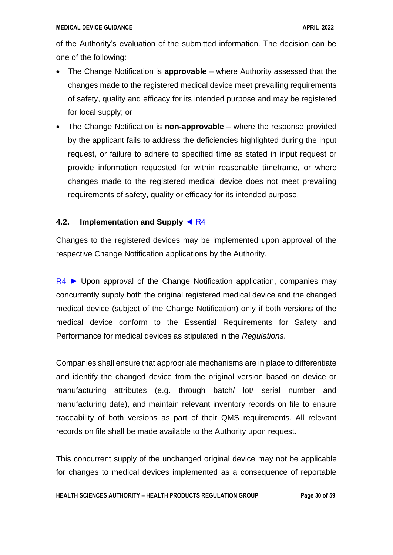of the Authority's evaluation of the submitted information. The decision can be one of the following:

- The Change Notification is **approvable** where Authority assessed that the changes made to the registered medical device meet prevailing requirements of safety, quality and efficacy for its intended purpose and may be registered for local supply; or
- The Change Notification is **non-approvable** where the response provided by the applicant fails to address the deficiencies highlighted during the input request, or failure to adhere to specified time as stated in input request or provide information requested for within reasonable timeframe, or where changes made to the registered medical device does not meet prevailing requirements of safety, quality or efficacy for its intended purpose.

# <span id="page-29-0"></span>**4.2. Implementation and Supply** ◄ R4

Changes to the registered devices may be implemented upon approval of the respective Change Notification applications by the Authority.

 $R4$   $\blacktriangleright$  Upon approval of the Change Notification application, companies may concurrently supply both the original registered medical device and the changed medical device (subject of the Change Notification) only if both versions of the medical device conform to the Essential Requirements for Safety and Performance for medical devices as stipulated in the *Regulations*.

Companies shall ensure that appropriate mechanisms are in place to differentiate and identify the changed device from the original version based on device or manufacturing attributes (e.g. through batch/ lot/ serial number and manufacturing date), and maintain relevant inventory records on file to ensure traceability of both versions as part of their QMS requirements. All relevant records on file shall be made available to the Authority upon request.

This concurrent supply of the unchanged original device may not be applicable for changes to medical devices implemented as a consequence of reportable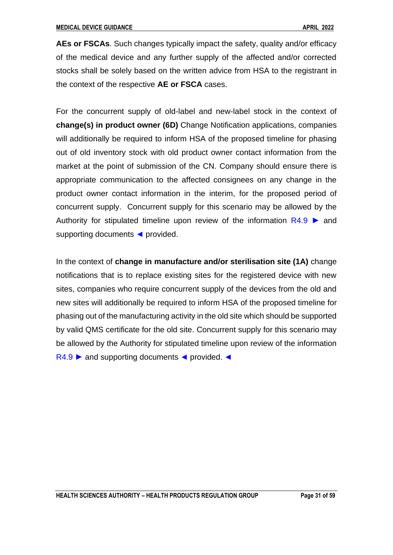**AEs or FSCAs**. Such changes typically impact the safety, quality and/or efficacy of the medical device and any further supply of the affected and/or corrected stocks shall be solely based on the written advice from HSA to the registrant in the context of the respective **AE or FSCA** cases.

For the concurrent supply of old-label and new-label stock in the context of **change(s) in product owner (6D)** Change Notification applications, companies will additionally be required to inform HSA of the proposed timeline for phasing out of old inventory stock with old product owner contact information from the market at the point of submission of the CN. Company should ensure there is appropriate communication to the affected consignees on any change in the product owner contact information in the interim, for the proposed period of concurrent supply. Concurrent supply for this scenario may be allowed by the Authority for stipulated timeline upon review of the information  $R4.9 \triangleright$  and supporting documents ◀ provided.

In the context of **change in manufacture and/or sterilisation site (1A)** change notifications that is to replace existing sites for the registered device with new sites, companies who require concurrent supply of the devices from the old and new sites will additionally be required to inform HSA of the proposed timeline for phasing out of the manufacturing activity in the old site which should be supported by valid QMS certificate for the old site. Concurrent supply for this scenario may be allowed by the Authority for stipulated timeline upon review of the information R4.9 ► and supporting documents < provided. <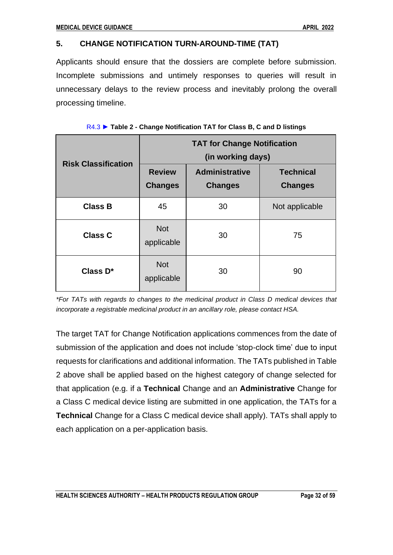# <span id="page-31-0"></span>**5. CHANGE NOTIFICATION TURN-AROUND-TIME (TAT)**

Applicants should ensure that the dossiers are complete before submission. Incomplete submissions and untimely responses to queries will result in unnecessary delays to the review process and inevitably prolong the overall processing timeline.

| <b>Risk Classification</b> | <b>TAT for Change Notification</b><br>(in working days) |                                         |                                    |  |  |
|----------------------------|---------------------------------------------------------|-----------------------------------------|------------------------------------|--|--|
|                            | <b>Review</b><br><b>Changes</b>                         | <b>Administrative</b><br><b>Changes</b> | <b>Technical</b><br><b>Changes</b> |  |  |
| <b>Class B</b>             | 45                                                      | 30                                      | Not applicable                     |  |  |
| <b>Class C</b>             | <b>Not</b><br>applicable                                | 30                                      | 75                                 |  |  |
| Class D*                   | <b>Not</b><br>applicable                                | 30                                      | 90                                 |  |  |

| R4.3 ► Table 2 - Change Notification TAT for Class B, C and D listings |  |  |  |
|------------------------------------------------------------------------|--|--|--|

*\*For TATs with regards to changes to the medicinal product in Class D medical devices that incorporate a registrable medicinal product in an ancillary role, please contact HSA.* 

The target TAT for Change Notification applications commences from the date of submission of the application and does not include 'stop-clock time' due to input requests for clarifications and additional information. The TATs published in Table 2 above shall be applied based on the highest category of change selected for that application (e.g. if a **Technical** Change and an **Administrative** Change for a Class C medical device listing are submitted in one application, the TATs for a **Technical** Change for a Class C medical device shall apply). TATs shall apply to each application on a per-application basis.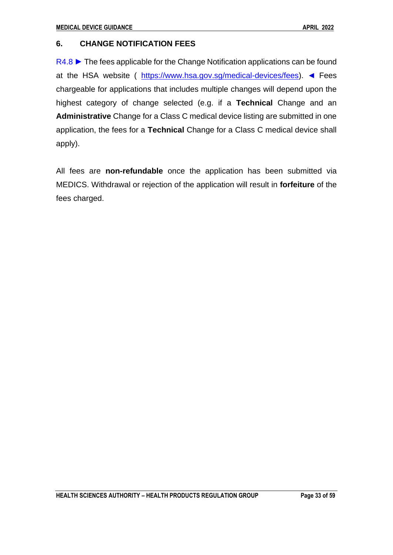# <span id="page-32-0"></span>**6. CHANGE NOTIFICATION FEES**

R4.8 ► The fees applicable for the Change Notification applications can be found at the HSA website ( [https://www.hsa.gov.sg/medical-devices/fees\)](https://www.hsa.gov.sg/medical-devices/fees). ◄ Fees chargeable for applications that includes multiple changes will depend upon the highest category of change selected (e.g. if a **Technical** Change and an **Administrative** Change for a Class C medical device listing are submitted in one application, the fees for a **Technical** Change for a Class C medical device shall apply).

All fees are **non-refundable** once the application has been submitted via MEDICS. Withdrawal or rejection of the application will result in **forfeiture** of the fees charged.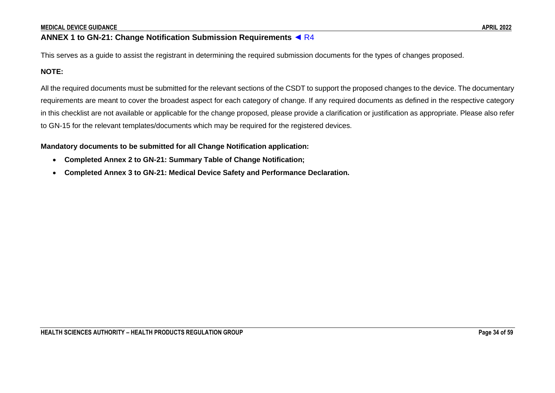# **ANNEX 1 to GN-21: Change Notification Submission Requirements** ◄ R4

This serves as a guide to assist the registrant in determining the required submission documents for the types of changes proposed.

# **NOTE:**

All the required documents must be submitted for the relevant sections of the CSDT to support the proposed changes to the device. The documentary requirements are meant to cover the broadest aspect for each category of change. If any required documents as defined in the respective category in this checklist are not available or applicable for the change proposed, please provide a clarification or justification as appropriate. Please also refer to GN-15 for the relevant templates/documents which may be required for the registered devices.

#### **Mandatory documents to be submitted for all Change Notification application:**

- **Completed Annex 2 to GN-21: Summary Table of Change Notification;**
- <span id="page-33-0"></span>• **Completed Annex 3 to GN-21: Medical Device Safety and Performance Declaration.**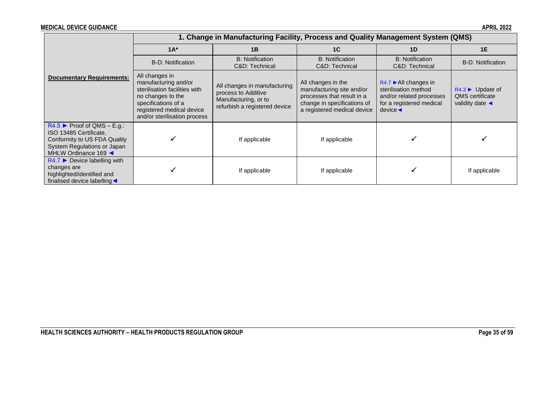|                                                                                                                                            | 1. Change in Manufacturing Facility, Process and Quality Management System (QMS)                                                                                                 |                                                                                                              |                                                                                                                                             |                                                                                                                                      |                                                                                                        |  |  |  |
|--------------------------------------------------------------------------------------------------------------------------------------------|----------------------------------------------------------------------------------------------------------------------------------------------------------------------------------|--------------------------------------------------------------------------------------------------------------|---------------------------------------------------------------------------------------------------------------------------------------------|--------------------------------------------------------------------------------------------------------------------------------------|--------------------------------------------------------------------------------------------------------|--|--|--|
|                                                                                                                                            | $1A^*$                                                                                                                                                                           | 1B                                                                                                           | 1 <sup>C</sup>                                                                                                                              | 1 <sub>D</sub>                                                                                                                       | 1E                                                                                                     |  |  |  |
|                                                                                                                                            | <b>B-D: Notification</b>                                                                                                                                                         | <b>B:</b> Notification<br>C&D: Technical                                                                     | <b>B:</b> Notification<br>C&D: Technical                                                                                                    | <b>B:</b> Notification<br>C&D: Technical                                                                                             | <b>B-D: Notification</b>                                                                               |  |  |  |
| <b>Documentary Requirements:</b>                                                                                                           | All changes in<br>manufacturing and/or<br>sterilisation facilities with<br>no changes to the<br>specifications of a<br>registered medical device<br>and/or sterilisation process | All changes in manufacturing<br>process to Additive<br>Manufacturing, or to<br>refurbish a registered device | All changes in the<br>manufacturing site and/or<br>processes that result in a<br>change in specifications of<br>a registered medical device | $R4.7$ All changes in<br>sterilisation method<br>and/or related processes<br>for a registered medical<br>$device \blacktriangleleft$ | $R4.3$ $\blacktriangleright$ Update of<br><b>QMS</b> certificate<br>validity date $\blacktriangleleft$ |  |  |  |
| $R4.5$ Proof of QMS – E.g.:<br>ISO 13485 Certificate,<br>Conformity to US FDA Quality<br>System Regulations or Japan<br>MHLW Ordinance 169 |                                                                                                                                                                                  | If applicable                                                                                                | If applicable                                                                                                                               |                                                                                                                                      |                                                                                                        |  |  |  |
| $R4.7$ $\triangleright$ Device labelling with<br>changes are<br>highlighted/identified and<br>finalised device labelling                   |                                                                                                                                                                                  | If applicable                                                                                                | If applicable                                                                                                                               |                                                                                                                                      | If applicable                                                                                          |  |  |  |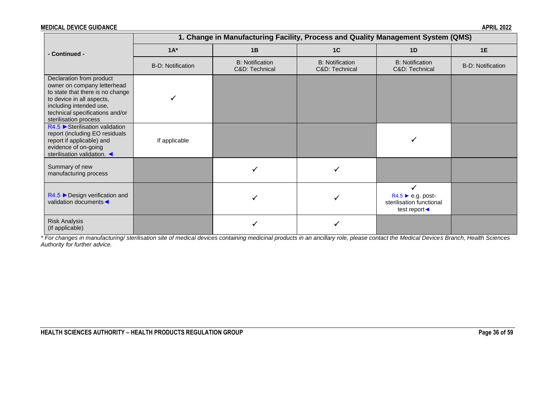|                                                                                                                                                                                                                 | 1. Change in Manufacturing Facility, Process and Quality Management System (QMS) |                                          |                                          |                                                                                                  |                          |  |  |
|-----------------------------------------------------------------------------------------------------------------------------------------------------------------------------------------------------------------|----------------------------------------------------------------------------------|------------------------------------------|------------------------------------------|--------------------------------------------------------------------------------------------------|--------------------------|--|--|
| - Continued -                                                                                                                                                                                                   | $1A^*$                                                                           | 1B                                       | 1C                                       | 1D                                                                                               | 1E                       |  |  |
|                                                                                                                                                                                                                 | <b>B-D: Notification</b>                                                         | <b>B:</b> Notification<br>C&D: Technical | <b>B:</b> Notification<br>C&D: Technical | <b>B:</b> Notification<br>C&D: Technical                                                         | <b>B-D: Notification</b> |  |  |
| Declaration from product<br>owner on company letterhead<br>to state that there is no change<br>to device in all aspects,<br>including intended use,<br>technical specifications and/or<br>sterilisation process |                                                                                  |                                          |                                          |                                                                                                  |                          |  |  |
| $R4.5$ $\triangleright$ Sterilisation validation<br>report (including EO residuals<br>report if applicable) and<br>evidence of on-going<br>sterilisation validation.                                            | If applicable                                                                    |                                          |                                          |                                                                                                  |                          |  |  |
| Summary of new<br>manufacturing process                                                                                                                                                                         |                                                                                  |                                          |                                          |                                                                                                  |                          |  |  |
| $R4.5$ $\triangleright$ Design verification and<br>validation documents                                                                                                                                         |                                                                                  |                                          |                                          | $R4.5 \triangleright e.g.$ post-<br>sterilisation functional<br>test report $\blacktriangleleft$ |                          |  |  |
| <b>Risk Analysis</b><br>(If applicable)                                                                                                                                                                         |                                                                                  |                                          |                                          |                                                                                                  |                          |  |  |

*\* For changes in manufacturing/ sterilisation site of medical devices containing medicinal products in an ancillary role, please contact the Medical Devices Branch, Health Sciences Authority for further advice.*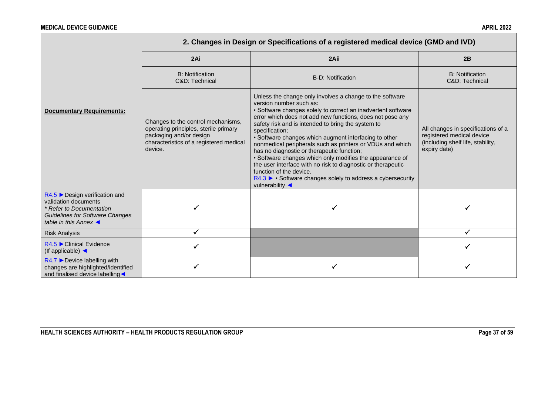|                                                                                                                                                                     | 2. Changes in Design or Specifications of a registered medical device (GMD and IVD)                                                                          |                                                                                                                                                                                                                                                                                                                                                                                                                                                                                                                                                                                                                                                                                                       |                                                                                                                      |  |  |  |
|---------------------------------------------------------------------------------------------------------------------------------------------------------------------|--------------------------------------------------------------------------------------------------------------------------------------------------------------|-------------------------------------------------------------------------------------------------------------------------------------------------------------------------------------------------------------------------------------------------------------------------------------------------------------------------------------------------------------------------------------------------------------------------------------------------------------------------------------------------------------------------------------------------------------------------------------------------------------------------------------------------------------------------------------------------------|----------------------------------------------------------------------------------------------------------------------|--|--|--|
|                                                                                                                                                                     | 2Ai                                                                                                                                                          | 2Aii                                                                                                                                                                                                                                                                                                                                                                                                                                                                                                                                                                                                                                                                                                  | 2B                                                                                                                   |  |  |  |
|                                                                                                                                                                     | <b>B:</b> Notification<br>C&D: Technical                                                                                                                     | <b>B-D: Notification</b>                                                                                                                                                                                                                                                                                                                                                                                                                                                                                                                                                                                                                                                                              | <b>B:</b> Notification<br>C&D: Technical                                                                             |  |  |  |
| <b>Documentary Requirements:</b>                                                                                                                                    | Changes to the control mechanisms,<br>operating principles, sterile primary<br>packaging and/or design<br>characteristics of a registered medical<br>device. | Unless the change only involves a change to the software<br>version number such as:<br>• Software changes solely to correct an inadvertent software<br>error which does not add new functions, does not pose any<br>safety risk and is intended to bring the system to<br>specification;<br>• Software changes which augment interfacing to other<br>nonmedical peripherals such as printers or VDUs and which<br>has no diagnostic or therapeutic function;<br>• Software changes which only modifies the appearance of<br>the user interface with no risk to diagnostic or therapeutic<br>function of the device.<br>R4.3 ► • Software changes solely to address a cybersecurity<br>vulnerability < | All changes in specifications of a<br>registered medical device<br>(including shelf life, stability,<br>expiry date) |  |  |  |
| $R4.5$ Design verification and<br>validation documents<br>* Refer to Documentation<br><b>Guidelines for Software Changes</b><br>table in this Annex $\triangleleft$ |                                                                                                                                                              |                                                                                                                                                                                                                                                                                                                                                                                                                                                                                                                                                                                                                                                                                                       |                                                                                                                      |  |  |  |
| <b>Risk Analysis</b>                                                                                                                                                | ✓                                                                                                                                                            |                                                                                                                                                                                                                                                                                                                                                                                                                                                                                                                                                                                                                                                                                                       |                                                                                                                      |  |  |  |
| $R4.5$ Clinical Evidence<br>(If applicable) $\triangleleft$                                                                                                         |                                                                                                                                                              |                                                                                                                                                                                                                                                                                                                                                                                                                                                                                                                                                                                                                                                                                                       |                                                                                                                      |  |  |  |
| $R4.7$ $\triangleright$ Device labelling with<br>changes are highlighted/identified<br>and finalised device labelling                                               |                                                                                                                                                              |                                                                                                                                                                                                                                                                                                                                                                                                                                                                                                                                                                                                                                                                                                       |                                                                                                                      |  |  |  |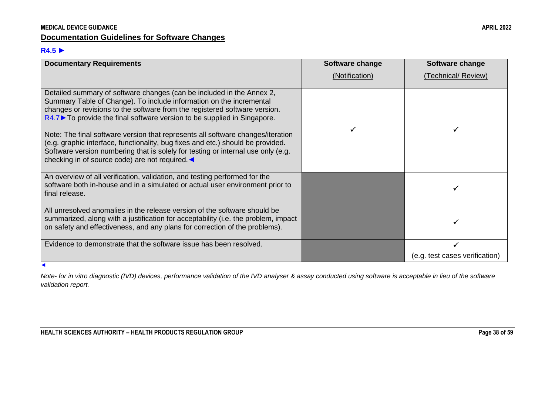# **Documentation Guidelines for Software Changes**

# **R4.5** ►

| <b>Documentary Requirements</b>                                                                                                                                                                                                                                                                                                                                                                                                                                                                                                                                                                                      | <b>Software change</b> | Software change                |
|----------------------------------------------------------------------------------------------------------------------------------------------------------------------------------------------------------------------------------------------------------------------------------------------------------------------------------------------------------------------------------------------------------------------------------------------------------------------------------------------------------------------------------------------------------------------------------------------------------------------|------------------------|--------------------------------|
|                                                                                                                                                                                                                                                                                                                                                                                                                                                                                                                                                                                                                      | (Notification)         | (Technical/ Review)            |
| Detailed summary of software changes (can be included in the Annex 2,<br>Summary Table of Change). To include information on the incremental<br>changes or revisions to the software from the registered software version.<br>$R4.7$ To provide the final software version to be supplied in Singapore.<br>Note: The final software version that represents all software changes/iteration<br>(e.g. graphic interface, functionality, bug fixes and etc.) should be provided.<br>Software version numbering that is solely for testing or internal use only (e.g.<br>checking in of source code) are not required. < |                        |                                |
| An overview of all verification, validation, and testing performed for the<br>software both in-house and in a simulated or actual user environment prior to<br>final release.                                                                                                                                                                                                                                                                                                                                                                                                                                        |                        |                                |
| All unresolved anomalies in the release version of the software should be<br>summarized, along with a justification for acceptability (i.e. the problem, impact<br>on safety and effectiveness, and any plans for correction of the problems).                                                                                                                                                                                                                                                                                                                                                                       |                        |                                |
| Evidence to demonstrate that the software issue has been resolved.                                                                                                                                                                                                                                                                                                                                                                                                                                                                                                                                                   |                        |                                |
|                                                                                                                                                                                                                                                                                                                                                                                                                                                                                                                                                                                                                      |                        | (e.g. test cases verification) |

*Note- for in vitro diagnostic (IVD) devices, performance validation of the IVD analyser & assay conducted using software is acceptable in lieu of the software validation report.*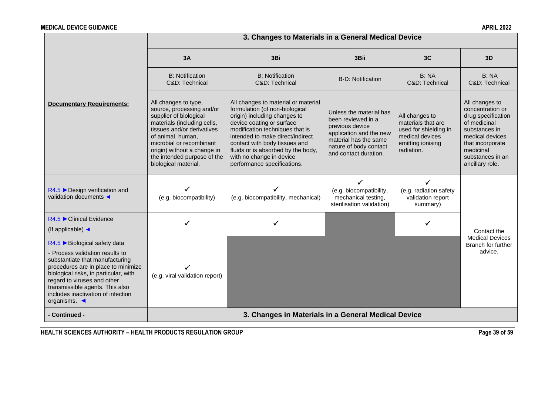|                                                                                                                                                                                                                                                                                                           |                                                                                                                                                                                                                                                                                 | 3. Changes to Materials in a General Medical Device                                                                                                                                                                                                                                                                                         |                                                                                                                                                                         |                                                                                                                     |                                                                                                                                                                                      |  |
|-----------------------------------------------------------------------------------------------------------------------------------------------------------------------------------------------------------------------------------------------------------------------------------------------------------|---------------------------------------------------------------------------------------------------------------------------------------------------------------------------------------------------------------------------------------------------------------------------------|---------------------------------------------------------------------------------------------------------------------------------------------------------------------------------------------------------------------------------------------------------------------------------------------------------------------------------------------|-------------------------------------------------------------------------------------------------------------------------------------------------------------------------|---------------------------------------------------------------------------------------------------------------------|--------------------------------------------------------------------------------------------------------------------------------------------------------------------------------------|--|
|                                                                                                                                                                                                                                                                                                           | 3A                                                                                                                                                                                                                                                                              | 3Bi                                                                                                                                                                                                                                                                                                                                         | 3Bii                                                                                                                                                                    | 3C                                                                                                                  | 3D                                                                                                                                                                                   |  |
|                                                                                                                                                                                                                                                                                                           | <b>B:</b> Notification<br>C&D: Technical                                                                                                                                                                                                                                        | <b>B:</b> Notification<br>C&D: Technical                                                                                                                                                                                                                                                                                                    | <b>B-D: Notification</b>                                                                                                                                                | B: NA<br>C&D: Technical                                                                                             | B: NA<br>C&D: Technical                                                                                                                                                              |  |
| <b>Documentary Requirements:</b>                                                                                                                                                                                                                                                                          | All changes to type,<br>source, processing and/or<br>supplier of biological<br>materials (including cells,<br>tissues and/or derivatives<br>of animal, human,<br>microbial or recombinant<br>origin) without a change in<br>the intended purpose of the<br>biological material. | All changes to material or material<br>formulation (of non-biological<br>origin) including changes to<br>device coating or surface<br>modification techniques that is<br>intended to make direct/indirect<br>contact with body tissues and<br>fluids or is absorbed by the body,<br>with no change in device<br>performance specifications. | Unless the material has<br>been reviewed in a<br>previous device<br>application and the new<br>material has the same<br>nature of body contact<br>and contact duration. | All changes to<br>materials that are<br>used for shielding in<br>medical devices<br>emitting ionising<br>radiation. | All changes to<br>concentration or<br>drug specification<br>of medicinal<br>substances in<br>medical devices<br>that incorporate<br>medicinal<br>substances in an<br>ancillary role. |  |
| $R4.5$ $\triangleright$ Design verification and<br>validation documents <                                                                                                                                                                                                                                 | (e.g. biocompatibility)                                                                                                                                                                                                                                                         | (e.g. biocompatibility, mechanical)                                                                                                                                                                                                                                                                                                         | ✓<br>(e.g. biocompatibility,<br>mechanical testing,<br>sterilisation validation)                                                                                        | (e.g. radiation safety<br>validation report<br>summary)                                                             |                                                                                                                                                                                      |  |
| $R4.5$ Clinical Evidence<br>(If applicable) $\triangleleft$                                                                                                                                                                                                                                               | ✓                                                                                                                                                                                                                                                                               |                                                                                                                                                                                                                                                                                                                                             |                                                                                                                                                                         |                                                                                                                     | Contact the                                                                                                                                                                          |  |
| R4.5 ▶ Biological safety data<br>- Process validation results to<br>substantiate that manufacturing<br>procedures are in place to minimize<br>biological risks, in particular, with<br>regard to viruses and other<br>transmissible agents. This also<br>includes inactivation of infection<br>organisms. | (e.g. viral validation report)                                                                                                                                                                                                                                                  |                                                                                                                                                                                                                                                                                                                                             |                                                                                                                                                                         |                                                                                                                     | <b>Medical Devices</b><br>Branch for further<br>advice.                                                                                                                              |  |
| - Continued -                                                                                                                                                                                                                                                                                             |                                                                                                                                                                                                                                                                                 | 3. Changes in Materials in a General Medical Device                                                                                                                                                                                                                                                                                         |                                                                                                                                                                         |                                                                                                                     |                                                                                                                                                                                      |  |

**HEALTH SCIENCES AUTHORITY – HEALTH PRODUCTS REGULATION GROUP Page 39 of 59**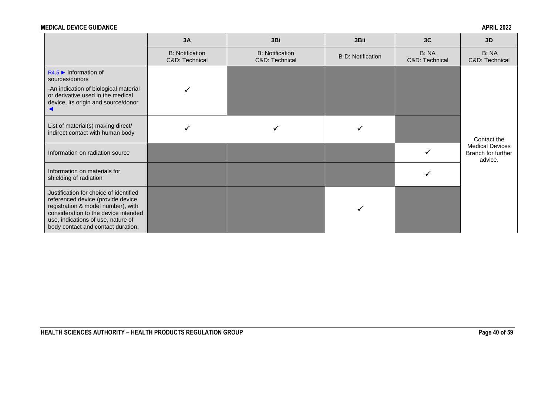| <b>MEDICAL DEVICE GUIDANCE</b><br><b>APRIL 2022</b> |
|-----------------------------------------------------|
|-----------------------------------------------------|

|                                                                                                                                                                                                                                       | 3A                                       | 3Bi                                      | 3Bii                     | 3C                      | 3D                                                      |
|---------------------------------------------------------------------------------------------------------------------------------------------------------------------------------------------------------------------------------------|------------------------------------------|------------------------------------------|--------------------------|-------------------------|---------------------------------------------------------|
|                                                                                                                                                                                                                                       | <b>B:</b> Notification<br>C&D: Technical | <b>B: Notification</b><br>C&D: Technical | <b>B-D: Notification</b> | B: NA<br>C&D: Technical | B: NA<br>C&D: Technical                                 |
| $R4.5$ Information of<br>sources/donors<br>-An indication of biological material                                                                                                                                                      |                                          |                                          |                          |                         |                                                         |
| or derivative used in the medical<br>device, its origin and source/donor                                                                                                                                                              |                                          |                                          |                          |                         |                                                         |
| List of material(s) making direct/<br>indirect contact with human body                                                                                                                                                                |                                          |                                          |                          |                         | Contact the                                             |
| Information on radiation source                                                                                                                                                                                                       |                                          |                                          |                          |                         | <b>Medical Devices</b><br>Branch for further<br>advice. |
| Information on materials for<br>shielding of radiation                                                                                                                                                                                |                                          |                                          |                          |                         |                                                         |
| Justification for choice of identified<br>referenced device (provide device<br>registration & model number), with<br>consideration to the device intended<br>use, indications of use, nature of<br>body contact and contact duration. |                                          |                                          |                          |                         |                                                         |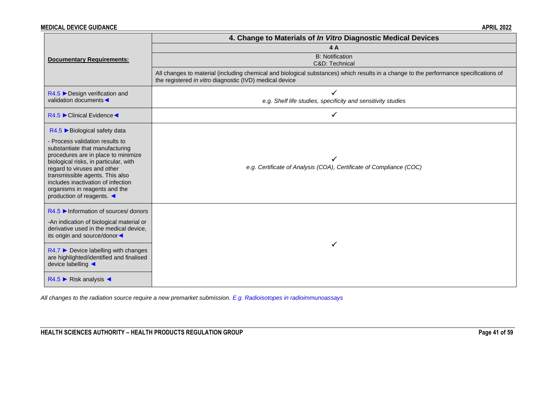|                                                                                                                                                  | 4. Change to Materials of In Vitro Diagnostic Medical Devices                                                                                                                                    |  |  |  |  |
|--------------------------------------------------------------------------------------------------------------------------------------------------|--------------------------------------------------------------------------------------------------------------------------------------------------------------------------------------------------|--|--|--|--|
|                                                                                                                                                  | 4A                                                                                                                                                                                               |  |  |  |  |
| <b>Documentary Requirements:</b>                                                                                                                 | <b>B:</b> Notification                                                                                                                                                                           |  |  |  |  |
|                                                                                                                                                  | C&D: Technical                                                                                                                                                                                   |  |  |  |  |
|                                                                                                                                                  | All changes to material (including chemical and biological substances) which results in a change to the performance specifications of<br>the registered in vitro diagnostic (IVD) medical device |  |  |  |  |
| $R4.5$ $\triangleright$ Design verification and                                                                                                  |                                                                                                                                                                                                  |  |  |  |  |
| validation documents                                                                                                                             | e.g. Shelf life studies, specificity and sensitivity studies                                                                                                                                     |  |  |  |  |
| R4.5 Clinical Evidence <                                                                                                                         |                                                                                                                                                                                                  |  |  |  |  |
| R4.5 ▶ Biological safety data                                                                                                                    |                                                                                                                                                                                                  |  |  |  |  |
| Process validation results to<br>substantiate that manufacturing<br>procedures are in place to minimize<br>biological risks, in particular, with |                                                                                                                                                                                                  |  |  |  |  |
|                                                                                                                                                  |                                                                                                                                                                                                  |  |  |  |  |
|                                                                                                                                                  |                                                                                                                                                                                                  |  |  |  |  |
| regard to viruses and other<br>transmissible agents. This also                                                                                   | e.g. Certificate of Analysis (COA), Certificate of Compliance (COC)                                                                                                                              |  |  |  |  |
| includes inactivation of infection                                                                                                               |                                                                                                                                                                                                  |  |  |  |  |
| organisms in reagents and the<br>production of reagents. ◀                                                                                       |                                                                                                                                                                                                  |  |  |  |  |
|                                                                                                                                                  |                                                                                                                                                                                                  |  |  |  |  |
| $R4.5$ Information of sources/ donors                                                                                                            |                                                                                                                                                                                                  |  |  |  |  |
| -An indication of biological material or                                                                                                         |                                                                                                                                                                                                  |  |  |  |  |
| derivative used in the medical device,<br>its origin and source/donor                                                                            |                                                                                                                                                                                                  |  |  |  |  |
|                                                                                                                                                  | ✓                                                                                                                                                                                                |  |  |  |  |
| $R4.7$ $\triangleright$ Device labelling with changes                                                                                            |                                                                                                                                                                                                  |  |  |  |  |
| are highlighted/identified and finalised<br>device labelling ◀                                                                                   |                                                                                                                                                                                                  |  |  |  |  |
|                                                                                                                                                  |                                                                                                                                                                                                  |  |  |  |  |
| $R4.5$ $\triangleright$ Risk analysis <                                                                                                          |                                                                                                                                                                                                  |  |  |  |  |

*All changes to the radiation source require a new premarket submission. E.g. Radioisotopes in radioimmunoassays*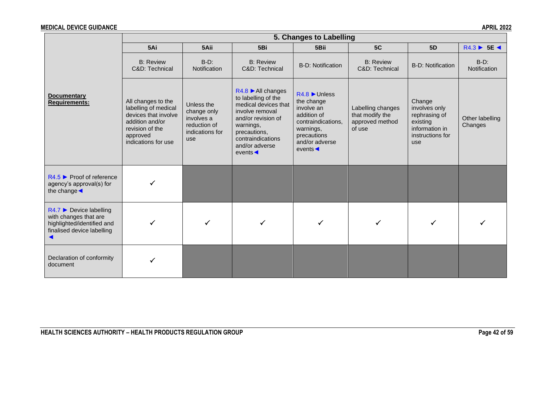|                                                                                                                               | 5. Changes to Labelling                                                                                                                     |                                                                                   |                                                                                                                                                                                                      |                                                                                                                                                             |                                                                   |                                                                                                   |                            |
|-------------------------------------------------------------------------------------------------------------------------------|---------------------------------------------------------------------------------------------------------------------------------------------|-----------------------------------------------------------------------------------|------------------------------------------------------------------------------------------------------------------------------------------------------------------------------------------------------|-------------------------------------------------------------------------------------------------------------------------------------------------------------|-------------------------------------------------------------------|---------------------------------------------------------------------------------------------------|----------------------------|
|                                                                                                                               | 5Ai                                                                                                                                         | 5Aii                                                                              | 5Bi                                                                                                                                                                                                  | 5Bii                                                                                                                                                        | 5C                                                                | 5 <sub>D</sub>                                                                                    | $R4.3 \triangleright 5E$   |
|                                                                                                                               | <b>B: Review</b><br>C&D: Technical                                                                                                          | $B-D$ :<br>Notification                                                           | <b>B: Review</b><br>C&D: Technical                                                                                                                                                                   | <b>B-D: Notification</b>                                                                                                                                    | <b>B: Review</b><br>C&D: Technical                                | <b>B-D: Notification</b>                                                                          | $B-D$ :<br>Notification    |
| <b>Documentary</b><br><b>Requirements:</b>                                                                                    | All changes to the<br>labelling of medical<br>devices that involve<br>addition and/or<br>revision of the<br>approved<br>indications for use | Unless the<br>change only<br>involves a<br>reduction of<br>indications for<br>use | $R4.8$ MI changes<br>to labelling of the<br>medical devices that<br>involve removal<br>and/or revision of<br>warnings,<br>precautions,<br>contraindications<br>and/or adverse<br>events <sub>4</sub> | $R4.8$ Unless<br>the change<br>involve an<br>addition of<br>contraindications.<br>warnings,<br>precautions<br>and/or adverse<br>events $\blacktriangleleft$ | Labelling changes<br>that modify the<br>approved method<br>of use | Change<br>involves only<br>rephrasing of<br>existing<br>information in<br>instructions for<br>use | Other labelling<br>Changes |
| $R4.5$ Proof of reference<br>agency's approval(s) for<br>the change $\triangleleft$                                           |                                                                                                                                             |                                                                                   |                                                                                                                                                                                                      |                                                                                                                                                             |                                                                   |                                                                                                   |                            |
| $R4.7$ $\triangleright$ Device labelling<br>with changes that are<br>highlighted/identified and<br>finalised device labelling |                                                                                                                                             |                                                                                   |                                                                                                                                                                                                      |                                                                                                                                                             |                                                                   |                                                                                                   |                            |
| Declaration of conformity<br>document                                                                                         |                                                                                                                                             |                                                                                   |                                                                                                                                                                                                      |                                                                                                                                                             |                                                                   |                                                                                                   |                            |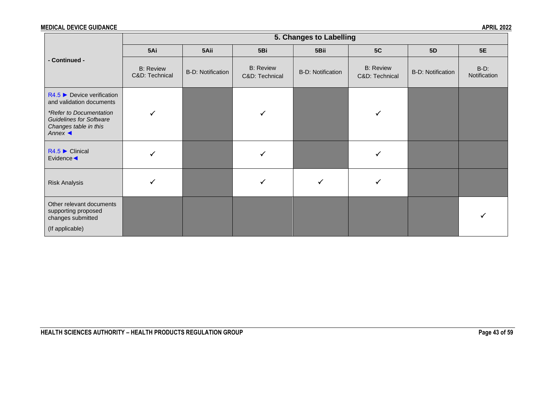|                                                                                                             |                                    |                          |                                    | 5. Changes to Labelling  |                                    |                          |                         |
|-------------------------------------------------------------------------------------------------------------|------------------------------------|--------------------------|------------------------------------|--------------------------|------------------------------------|--------------------------|-------------------------|
|                                                                                                             | 5Ai                                | 5Aii                     | 5Bi                                | 5Bii                     | 5C                                 | <b>5D</b>                | <b>5E</b>               |
| - Continued -                                                                                               | <b>B:</b> Review<br>C&D: Technical | <b>B-D: Notification</b> | <b>B: Review</b><br>C&D: Technical | <b>B-D: Notification</b> | <b>B:</b> Review<br>C&D: Technical | <b>B-D: Notification</b> | $B-D$ :<br>Notification |
| $R4.5$ Device verification<br>and validation documents                                                      |                                    |                          |                                    |                          |                                    |                          |                         |
| *Refer to Documentation<br><b>Guidelines for Software</b><br>Changes table in this<br>Annex $\triangleleft$ |                                    |                          |                                    |                          |                                    |                          |                         |
| $R4.5$ $\blacktriangleright$ Clinical<br>Evidence <                                                         |                                    |                          |                                    |                          |                                    |                          |                         |
| <b>Risk Analysis</b>                                                                                        |                                    |                          | ✓                                  | $\checkmark$             |                                    |                          |                         |
| Other relevant documents<br>supporting proposed<br>changes submitted<br>(If applicable)                     |                                    |                          |                                    |                          |                                    |                          |                         |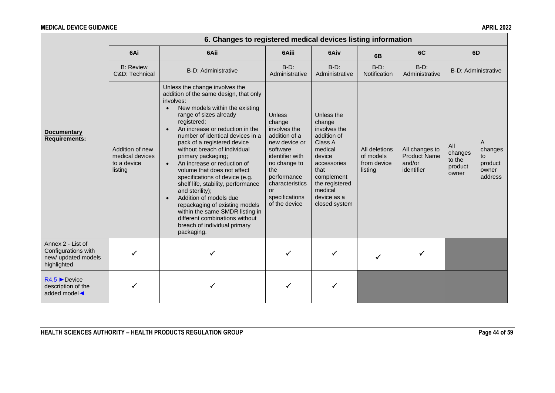|                                                                                | 6. Changes to registered medical devices listing information |                                                                                                                                                                                                                                                                                                                                                                                                                                                                                                                                                                                                                                                                                                                          |                                                                                                                                                                                                            |                                                                                                                                                                                       |                                                      |                                                               |                                              |                                                   |  |
|--------------------------------------------------------------------------------|--------------------------------------------------------------|--------------------------------------------------------------------------------------------------------------------------------------------------------------------------------------------------------------------------------------------------------------------------------------------------------------------------------------------------------------------------------------------------------------------------------------------------------------------------------------------------------------------------------------------------------------------------------------------------------------------------------------------------------------------------------------------------------------------------|------------------------------------------------------------------------------------------------------------------------------------------------------------------------------------------------------------|---------------------------------------------------------------------------------------------------------------------------------------------------------------------------------------|------------------------------------------------------|---------------------------------------------------------------|----------------------------------------------|---------------------------------------------------|--|
|                                                                                | 6Ai                                                          | 6Aii                                                                                                                                                                                                                                                                                                                                                                                                                                                                                                                                                                                                                                                                                                                     | 6Aiii                                                                                                                                                                                                      | 6Aiv                                                                                                                                                                                  | 6B                                                   | 6C                                                            |                                              | 6D                                                |  |
| <b>Documentary</b><br><b>Requirements:</b>                                     | <b>B: Review</b><br>C&D: Technical                           | <b>B-D: Administrative</b>                                                                                                                                                                                                                                                                                                                                                                                                                                                                                                                                                                                                                                                                                               | $B-D$ :<br>Administrative                                                                                                                                                                                  | $B-D$ :<br>Administrative                                                                                                                                                             | $B-D$ :<br>Notification                              | $B-D$ :<br>Administrative                                     | B-D: Administrative                          |                                                   |  |
|                                                                                | Addition of new<br>medical devices<br>to a device<br>listing | Unless the change involves the<br>addition of the same design, that only<br>involves:<br>New models within the existing<br>$\bullet$<br>range of sizes already<br>registered;<br>An increase or reduction in the<br>$\bullet$<br>number of identical devices in a<br>pack of a registered device<br>without breach of individual<br>primary packaging;<br>An increase or reduction of<br>$\bullet$<br>volume that does not affect<br>specifications of device (e.g.<br>shelf life, stability, performance<br>and sterility);<br>Addition of models due<br>$\bullet$<br>repackaging of existing models<br>within the same SMDR listing in<br>different combinations without<br>breach of individual primary<br>packaging. | <b>Unless</b><br>change<br>involves the<br>addition of a<br>new device or<br>software<br>identifier with<br>no change to<br>the<br>performance<br>characteristics<br>or<br>specifications<br>of the device | Unless the<br>change<br>involves the<br>addition of<br>Class A<br>medical<br>device<br>accessories<br>that<br>complement<br>the registered<br>medical<br>device as a<br>closed system | All deletions<br>of models<br>from device<br>listing | All changes to<br><b>Product Name</b><br>and/or<br>identifier | All<br>changes<br>to the<br>product<br>owner | A<br>changes<br>to<br>product<br>owner<br>address |  |
| Annex 2 - List of<br>Configurations with<br>new/ updated models<br>highlighted |                                                              |                                                                                                                                                                                                                                                                                                                                                                                                                                                                                                                                                                                                                                                                                                                          |                                                                                                                                                                                                            |                                                                                                                                                                                       |                                                      |                                                               |                                              |                                                   |  |
| $R4.5$ Device<br>description of the<br>added model                             |                                                              |                                                                                                                                                                                                                                                                                                                                                                                                                                                                                                                                                                                                                                                                                                                          |                                                                                                                                                                                                            |                                                                                                                                                                                       |                                                      |                                                               |                                              |                                                   |  |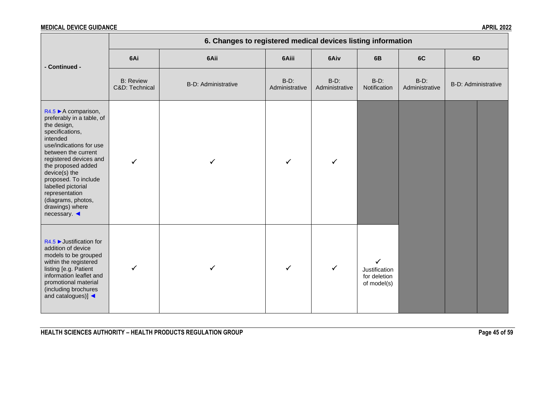|                                                                                                                                                                                                                                                                                                                                                            | 6. Changes to registered medical devices listing information |                     |                           |                           |                                                   |                           |                     |  |  |
|------------------------------------------------------------------------------------------------------------------------------------------------------------------------------------------------------------------------------------------------------------------------------------------------------------------------------------------------------------|--------------------------------------------------------------|---------------------|---------------------------|---------------------------|---------------------------------------------------|---------------------------|---------------------|--|--|
| - Continued -                                                                                                                                                                                                                                                                                                                                              | 6Ai                                                          | 6Aii                | 6Aiii                     | 6Aiv                      | 6B                                                | 6C                        | 6D                  |  |  |
|                                                                                                                                                                                                                                                                                                                                                            | <b>B: Review</b><br>C&D: Technical                           | B-D: Administrative | $B-D$ :<br>Administrative | $B-D$ :<br>Administrative | $B-D$ :<br>Notification                           | $B-D$ :<br>Administrative | B-D: Administrative |  |  |
| $R4.5 \triangleright A$ comparison,<br>preferably in a table, of<br>the design,<br>specifications,<br>intended<br>use/indications for use<br>between the current<br>registered devices and<br>the proposed added<br>device(s) the<br>proposed. To include<br>labelled pictorial<br>representation<br>(diagrams, photos,<br>drawings) where<br>necessary. ◀ | $\checkmark$                                                 |                     |                           | $\checkmark$              |                                                   |                           |                     |  |  |
| $R4.5$ $\blacktriangleright$ Justification for<br>addition of device<br>models to be grouped<br>within the registered<br>listing [e.g. Patient<br>information leaflet and<br>promotional material<br>(including brochures<br>and catalogues)]                                                                                                              | $\checkmark$                                                 |                     | $\checkmark$              | $\checkmark$              | ✓<br>Justification<br>for deletion<br>of model(s) |                           |                     |  |  |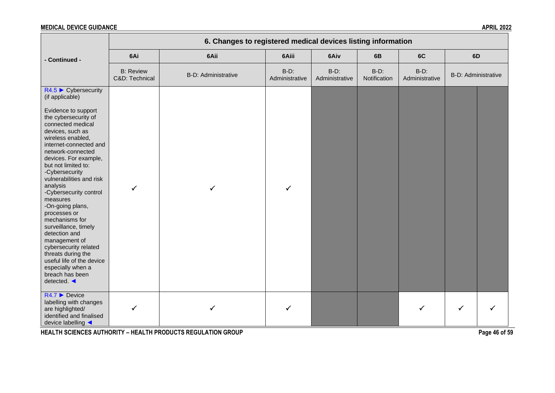|                                                                                                                                                                                                                                                                                                                                                                                                                                                                                                                                                                                | 6. Changes to registered medical devices listing information |                            |                           |                           |                         |                           |                     |  |
|--------------------------------------------------------------------------------------------------------------------------------------------------------------------------------------------------------------------------------------------------------------------------------------------------------------------------------------------------------------------------------------------------------------------------------------------------------------------------------------------------------------------------------------------------------------------------------|--------------------------------------------------------------|----------------------------|---------------------------|---------------------------|-------------------------|---------------------------|---------------------|--|
| - Continued -                                                                                                                                                                                                                                                                                                                                                                                                                                                                                                                                                                  | 6Ai                                                          | 6Aii                       | 6Aiii                     | 6Aiv                      | 6B                      | 6C                        | 6D                  |  |
|                                                                                                                                                                                                                                                                                                                                                                                                                                                                                                                                                                                | <b>B: Review</b><br>C&D: Technical                           | <b>B-D: Administrative</b> | $B-D$ :<br>Administrative | $B-D$ :<br>Administrative | $B-D$ :<br>Notification | $B-D$ :<br>Administrative | B-D: Administrative |  |
| $R4.5$ $\triangleright$ Cybersecurity<br>(if applicable)                                                                                                                                                                                                                                                                                                                                                                                                                                                                                                                       |                                                              |                            |                           |                           |                         |                           |                     |  |
| Evidence to support<br>the cybersecurity of<br>connected medical<br>devices, such as<br>wireless enabled,<br>internet-connected and<br>network-connected<br>devices. For example,<br>but not limited to:<br>-Cybersecurity<br>vulnerabilities and risk<br>analysis<br>-Cybersecurity control<br>measures<br>-On-going plans,<br>processes or<br>mechanisms for<br>surveillance, timely<br>detection and<br>management of<br>cybersecurity related<br>threats during the<br>useful life of the device<br>especially when a<br>breach has been<br>detected. $\blacktriangleleft$ | $\checkmark$                                                 |                            | ✓                         |                           |                         |                           |                     |  |
| $R4.7$ $\triangleright$ Device<br>labelling with changes<br>are highlighted/<br>identified and finalised<br>device labelling ◀                                                                                                                                                                                                                                                                                                                                                                                                                                                 |                                                              |                            |                           |                           |                         | ✓                         | ✓                   |  |

**HEALTH SCIENCES AUTHORITY – HEALTH PRODUCTS REGULATION GROUP Page 46 of 59**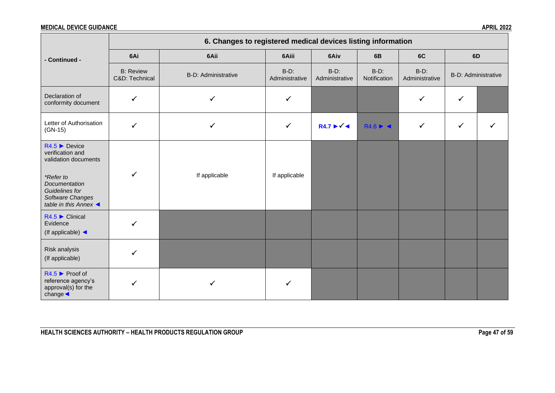|                                                                                                                                                                                                 | 6. Changes to registered medical devices listing information |                     |                           |                                     |                                       |                           |              |                     |  |  |  |
|-------------------------------------------------------------------------------------------------------------------------------------------------------------------------------------------------|--------------------------------------------------------------|---------------------|---------------------------|-------------------------------------|---------------------------------------|---------------------------|--------------|---------------------|--|--|--|
| - Continued -                                                                                                                                                                                   | 6Ai                                                          | 6Aii                | 6Aiii                     | 6Aiv                                | 6B                                    | 6C                        | 6D           |                     |  |  |  |
|                                                                                                                                                                                                 | <b>B: Review</b><br>C&D: Technical                           | B-D: Administrative | $B-D$ :<br>Administrative | $B-D$ :<br>Administrative           | $B-D$ :<br>Notification               | $B-D$ :<br>Administrative |              | B-D: Administrative |  |  |  |
| Declaration of<br>conformity document                                                                                                                                                           | $\checkmark$                                                 | $\checkmark$        |                           |                                     |                                       | ✓                         | ✓            |                     |  |  |  |
| Letter of Authorisation<br>$(GN-15)$                                                                                                                                                            | ✓                                                            | $\checkmark$        | $\checkmark$              | $R4.7 \blacktriangleright \sqrt{4}$ | $R4.6 \rightarrow \blacktriangleleft$ | $\checkmark$              | $\checkmark$ |                     |  |  |  |
| $R4.5$ $\blacktriangleright$ Device<br>verification and<br>validation documents<br>*Refer to<br>Documentation<br>Guidelines for<br>Software Changes<br>table in this Annex $\blacktriangleleft$ | ✓                                                            | If applicable       | If applicable             |                                     |                                       |                           |              |                     |  |  |  |
| $R4.5$ $\blacktriangleright$ Clinical<br>Evidence<br>(If applicable) $\triangleleft$                                                                                                            | ✓                                                            |                     |                           |                                     |                                       |                           |              |                     |  |  |  |
| Risk analysis<br>(If applicable)                                                                                                                                                                |                                                              |                     |                           |                                     |                                       |                           |              |                     |  |  |  |
| $R4.5$ Proof of<br>reference agency's<br>approval(s) for the<br>$change \blacktriangleleft$                                                                                                     | ✓                                                            |                     |                           |                                     |                                       |                           |              |                     |  |  |  |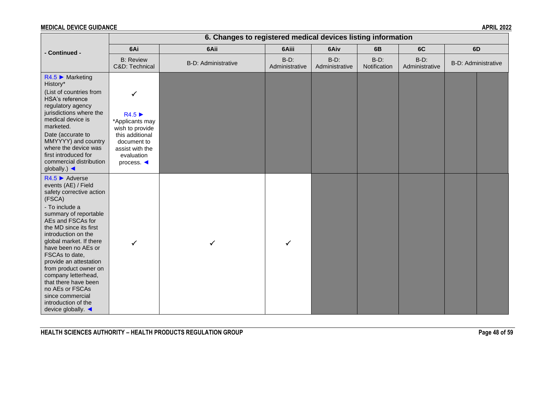|                                                                                                                                                                                                                                                                                                                                                                                                                                                                              |                                                                                                                                                                | 6. Changes to registered medical devices listing information |                           |                           |                         |                           |                            |  |
|------------------------------------------------------------------------------------------------------------------------------------------------------------------------------------------------------------------------------------------------------------------------------------------------------------------------------------------------------------------------------------------------------------------------------------------------------------------------------|----------------------------------------------------------------------------------------------------------------------------------------------------------------|--------------------------------------------------------------|---------------------------|---------------------------|-------------------------|---------------------------|----------------------------|--|
| - Continued -                                                                                                                                                                                                                                                                                                                                                                                                                                                                | 6Ai                                                                                                                                                            | 6Aii                                                         | 6Aiii                     | 6Aiv                      | 6B                      | 6C                        | 6D                         |  |
|                                                                                                                                                                                                                                                                                                                                                                                                                                                                              | <b>B:</b> Review<br>C&D: Technical                                                                                                                             | <b>B-D: Administrative</b>                                   | $B-D$ :<br>Administrative | $B-D$ :<br>Administrative | $B-D$ :<br>Notification | $B-D$ :<br>Administrative | <b>B-D: Administrative</b> |  |
| $R4.5$ Marketing<br>History*<br>(List of countries from<br>HSA's reference<br>regulatory agency<br>jurisdictions where the<br>medical device is<br>marketed.<br>Date (accurate to<br>MMYYYY) and country<br>where the device was<br>first introduced for<br>commercial distribution<br>globally.) $\blacktriangleleft$                                                                                                                                                       | $\checkmark$<br>R4.5<br>*Applicants may<br>wish to provide<br>this additional<br>document to<br>assist with the<br>evaluation<br>process. $\blacktriangleleft$ |                                                              |                           |                           |                         |                           |                            |  |
| $R4.5$ $\blacktriangleright$ Adverse<br>events (AE) / Field<br>safety corrective action<br>(FSCA)<br>- To include a<br>summary of reportable<br>AEs and FSCAs for<br>the MD since its first<br>introduction on the<br>global market. If there<br>have been no AEs or<br>FSCAs to date,<br>provide an attestation<br>from product owner on<br>company letterhead,<br>that there have been<br>no AEs or FSCAs<br>since commercial<br>introduction of the<br>device globally. ◀ | $\checkmark$                                                                                                                                                   | ✓                                                            | $\checkmark$              |                           |                         |                           |                            |  |

**HEALTH SCIENCES AUTHORITY – HEALTH PRODUCTS REGULATION GROUP Page 48 of 59**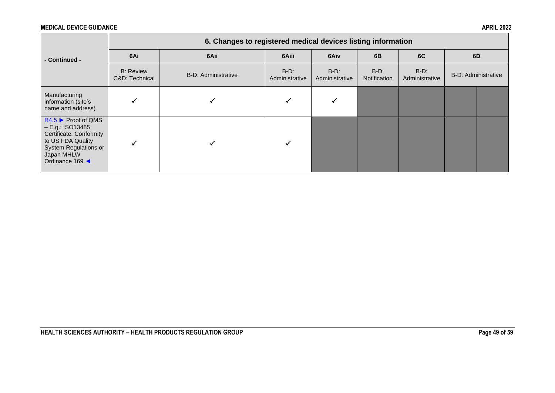|                                                                                                                                                   | 6. Changes to registered medical devices listing information |                     |                           |                           |                         |                           |  |                     |  |  |
|---------------------------------------------------------------------------------------------------------------------------------------------------|--------------------------------------------------------------|---------------------|---------------------------|---------------------------|-------------------------|---------------------------|--|---------------------|--|--|
| - Continued -                                                                                                                                     | 6Ai                                                          | 6Aii                | 6Aiii                     | 6Aiv                      | 6B                      | 6C                        |  | 6D                  |  |  |
|                                                                                                                                                   | <b>B:</b> Review<br>C&D: Technical                           | B-D: Administrative | $B-D$ :<br>Administrative | $B-D$ :<br>Administrative | $B-D$ :<br>Notification | $B-D$ :<br>Administrative |  | B-D: Administrative |  |  |
| Manufacturing<br>information (site's<br>name and address)                                                                                         |                                                              |                     |                           |                           |                         |                           |  |                     |  |  |
| $R4.5$ Proof of QMS<br>$- E.g.:$ ISO13485<br>Certificate, Conformity<br>to US FDA Quality<br>System Regulations or<br>Japan MHLW<br>Ordinance 169 |                                                              |                     |                           |                           |                         |                           |  |                     |  |  |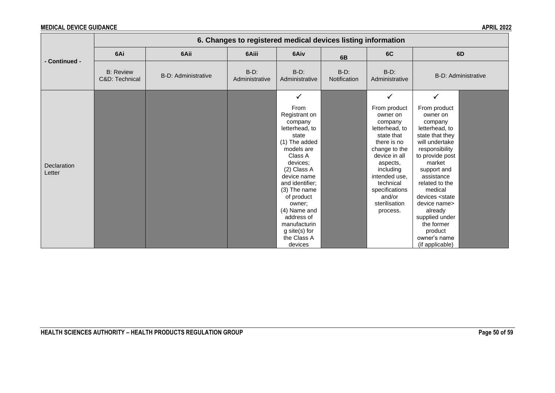|                       | 6. Changes to registered medical devices listing information |                            |                           |                                                                                                                                                                                                                                                                                                     |                         |                                                                                                                                                                                                                                      |                                                                                                                                                                                                                                                                                                                                                    |  |  |  |
|-----------------------|--------------------------------------------------------------|----------------------------|---------------------------|-----------------------------------------------------------------------------------------------------------------------------------------------------------------------------------------------------------------------------------------------------------------------------------------------------|-------------------------|--------------------------------------------------------------------------------------------------------------------------------------------------------------------------------------------------------------------------------------|----------------------------------------------------------------------------------------------------------------------------------------------------------------------------------------------------------------------------------------------------------------------------------------------------------------------------------------------------|--|--|--|
|                       | 6Ai                                                          | 6Aii                       | 6Aiii                     | 6Aiv                                                                                                                                                                                                                                                                                                | 6B                      | 6C                                                                                                                                                                                                                                   | 6D                                                                                                                                                                                                                                                                                                                                                 |  |  |  |
| - Continued -         | <b>B: Review</b><br>C&D: Technical                           | <b>B-D: Administrative</b> | $B-D$ :<br>Administrative | $B-D$ :<br>Administrative                                                                                                                                                                                                                                                                           | $B-D$ :<br>Notification | $B-D$ :<br>Administrative                                                                                                                                                                                                            | <b>B-D: Administrative</b>                                                                                                                                                                                                                                                                                                                         |  |  |  |
|                       |                                                              |                            |                           | $\checkmark$                                                                                                                                                                                                                                                                                        |                         | $\checkmark$                                                                                                                                                                                                                         | $\checkmark$                                                                                                                                                                                                                                                                                                                                       |  |  |  |
| Declaration<br>Letter |                                                              |                            |                           | From<br>Registrant on<br>company<br>letterhead, to<br>state<br>(1) The added<br>models are<br>Class A<br>devices;<br>(2) Class A<br>device name<br>and identifier;<br>(3) The name<br>of product<br>owner;<br>(4) Name and<br>address of<br>manufacturin<br>g site(s) for<br>the Class A<br>devices |                         | From product<br>owner on<br>company<br>letterhead, to<br>state that<br>there is no<br>change to the<br>device in all<br>aspects,<br>including<br>intended use,<br>technical<br>specifications<br>and/or<br>sterilisation<br>process. | From product<br>owner on<br>company<br>letterhead, to<br>state that they<br>will undertake<br>responsibility<br>to provide post<br>market<br>support and<br>assistance<br>related to the<br>medical<br>devices <state<br>device name&gt;<br/>already<br/>supplied under<br/>the former<br/>product<br/>owner's name<br/>(if applicable)</state<br> |  |  |  |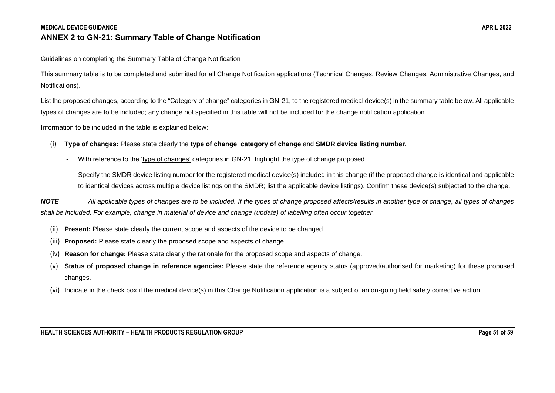#### **ANNEX 2 to GN-21: Summary Table of Change Notification**

#### Guidelines on completing the Summary Table of Change Notification

This summary table is to be completed and submitted for all Change Notification applications (Technical Changes, Review Changes, Administrative Changes, and Notifications).

List the proposed changes, according to the "Category of change" categories in GN-21, to the registered medical device(s) in the summary table below. All applicable types of changes are to be included; any change not specified in this table will not be included for the change notification application.

Information to be included in the table is explained below:

- (i) **Type of changes:** Please state clearly the **type of change**, **category of change** and **SMDR device listing number.**
	- With reference to the 'type of changes' categories in GN-21, highlight the type of change proposed.
	- Specify the SMDR device listing number for the registered medical device(s) included in this change (if the proposed change is identical and applicable to identical devices across multiple device listings on the SMDR; list the applicable device listings). Confirm these device(s) subjected to the change.

<span id="page-50-0"></span>*NOTE All applicable types of changes are to be included. If the types of change proposed affects/results in another type of change, all types of changes shall be included. For example, change in material of device and change (update) of labelling often occur together.* 

- (ii) **Present:** Please state clearly the current scope and aspects of the device to be changed.
- (iii) **Proposed:** Please state clearly the proposed scope and aspects of change.
- (iv) **Reason for change:** Please state clearly the rationale for the proposed scope and aspects of change.
- (v) **Status of proposed change in reference agencies:** Please state the reference agency status (approved/authorised for marketing) for these proposed changes.
- (vi) Indicate in the check box if the medical device(s) in this Change Notification application is a subject of an on-going field safety corrective action.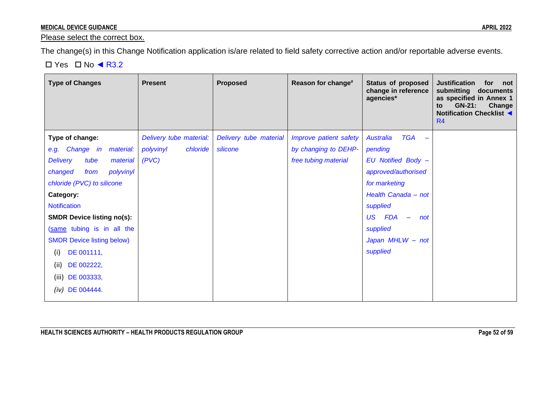#### Please select the correct box.

The change(s) in this Change Notification application is/are related to field safety corrective action and/or reportable adverse events.

#### $\Box$  Yes  $\Box$  No  $\blacktriangleleft$  R3.2 <u> 1989 - Johann Stoff, deutscher Stoff, der Stoff, der Stoff, der Stoff, der Stoff, der Stoff, der Stoff, der S</u>

 $\sim$ 

| <b>Type of Changes</b>              | <b>Present</b>          | <b>Proposed</b>        | Reason for change#     | <b>Status of proposed</b><br>change in reference<br>agencies* | <b>Justification</b><br>for<br>not<br>submitting<br>documents<br>as specified in Annex 1<br><b>GN-21:</b><br>Change<br>to<br>Notification Checklist <<br>R <sub>4</sub> |
|-------------------------------------|-------------------------|------------------------|------------------------|---------------------------------------------------------------|-------------------------------------------------------------------------------------------------------------------------------------------------------------------------|
| Type of change:                     | Delivery tube material: | Delivery tube material | Improve patient safety | <b>TGA</b><br>Australia<br>$\equiv$                           |                                                                                                                                                                         |
| e.g. Change in<br>material:         | polyvinyl<br>chloride   | silicone               | by changing to DEHP-   | pending                                                       |                                                                                                                                                                         |
| <b>Delivery</b><br>tube<br>material | (PVC)                   |                        | free tubing material   | EU Notified Body -                                            |                                                                                                                                                                         |
| polyvinyl<br>changed<br>from        |                         |                        |                        | approved/authorised                                           |                                                                                                                                                                         |
| chloride (PVC) to silicone          |                         |                        |                        | for marketing                                                 |                                                                                                                                                                         |
| Category:                           |                         |                        |                        | Health Canada - not                                           |                                                                                                                                                                         |
| <b>Notification</b>                 |                         |                        |                        | supplied                                                      |                                                                                                                                                                         |
| <b>SMDR Device listing no(s):</b>   |                         |                        |                        | <b>US</b><br><b>FDA</b><br>not<br>$\overline{\phantom{m}}$    |                                                                                                                                                                         |
| (same tubing is in all the          |                         |                        |                        | supplied                                                      |                                                                                                                                                                         |
| <b>SMDR Device listing below)</b>   |                         |                        |                        | Japan MHLW - not                                              |                                                                                                                                                                         |
| DE 001111,<br>(i)                   |                         |                        |                        | supplied                                                      |                                                                                                                                                                         |
| (ii)<br>DE 002222,                  |                         |                        |                        |                                                               |                                                                                                                                                                         |
| DE 003333,<br>(iii)                 |                         |                        |                        |                                                               |                                                                                                                                                                         |
| DE 004444.<br>(iv)                  |                         |                        |                        |                                                               |                                                                                                                                                                         |
|                                     |                         |                        |                        |                                                               |                                                                                                                                                                         |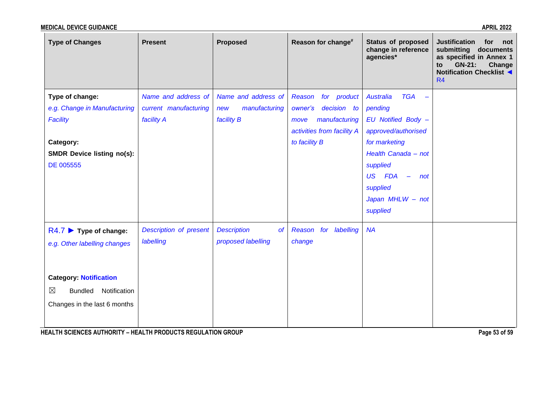| <b>Type of Changes</b>                         | <b>Present</b>         | <b>Proposed</b>                 | Reason for change#         | <b>Status of proposed</b><br>change in reference<br>agencies* | <b>Justification</b><br>for<br>not<br>submitting<br>documents<br>as specified in Annex 1<br>GN-21:<br>Change<br>to<br>Notification Checklist <<br>R <sub>4</sub> |
|------------------------------------------------|------------------------|---------------------------------|----------------------------|---------------------------------------------------------------|------------------------------------------------------------------------------------------------------------------------------------------------------------------|
| Type of change:                                | Name and address of    | Name and address of             | Reason<br>for product      | <b>TGA</b><br><b>Australia</b>                                |                                                                                                                                                                  |
| e.g. Change in Manufacturing                   | current manufacturing  | manufacturing<br>new            | owner's<br>decision to     | pending                                                       |                                                                                                                                                                  |
| <b>Facility</b>                                | facility A             | facility B                      | manufacturing<br>move      | EU Notified Body -                                            |                                                                                                                                                                  |
|                                                |                        |                                 | activities from facility A | approved/authorised                                           |                                                                                                                                                                  |
| Category:                                      |                        |                                 | to facility B              | for marketing                                                 |                                                                                                                                                                  |
| <b>SMDR Device listing no(s):</b><br>DE 005555 |                        |                                 |                            | Health Canada - not<br>supplied                               |                                                                                                                                                                  |
|                                                |                        |                                 |                            | US FDA<br>$\equiv$<br>not                                     |                                                                                                                                                                  |
|                                                |                        |                                 |                            | supplied                                                      |                                                                                                                                                                  |
|                                                |                        |                                 |                            | Japan MHLW - not                                              |                                                                                                                                                                  |
|                                                |                        |                                 |                            | supplied                                                      |                                                                                                                                                                  |
| $R4.7$ $\triangleright$ Type of change:        | Description of present | <b>Description</b><br><b>of</b> | for labelling<br>Reason    | <b>NA</b>                                                     |                                                                                                                                                                  |
| e.g. Other labelling changes                   | labelling              | proposed labelling              | change                     |                                                               |                                                                                                                                                                  |
|                                                |                        |                                 |                            |                                                               |                                                                                                                                                                  |
|                                                |                        |                                 |                            |                                                               |                                                                                                                                                                  |
| <b>Category: Notification</b>                  |                        |                                 |                            |                                                               |                                                                                                                                                                  |
| $\boxtimes$<br>Bundled Notification            |                        |                                 |                            |                                                               |                                                                                                                                                                  |
| Changes in the last 6 months                   |                        |                                 |                            |                                                               |                                                                                                                                                                  |
|                                                |                        |                                 |                            |                                                               |                                                                                                                                                                  |

**HEALTH SCIENCES AUTHORITY – HEALTH PRODUCTS REGULATION GROUP** *Page 53 of 59*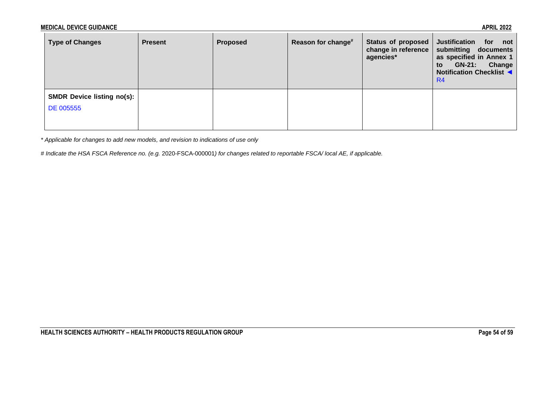| <b>Type of Changes</b>            | <b>Present</b> | <b>Proposed</b> | Reason for change <sup>#</sup> | <b>Status of proposed</b><br>change in reference<br>agencies* | <b>Justification</b><br>for<br>not<br>submitting documents<br>as specified in Annex 1<br>Change<br><b>GN-21:</b><br>to<br><b>Notification Checklist ◀</b><br>R <sub>4</sub> |
|-----------------------------------|----------------|-----------------|--------------------------------|---------------------------------------------------------------|-----------------------------------------------------------------------------------------------------------------------------------------------------------------------------|
| <b>SMDR Device listing no(s):</b> |                |                 |                                |                                                               |                                                                                                                                                                             |
| DE 005555                         |                |                 |                                |                                                               |                                                                                                                                                                             |
|                                   |                |                 |                                |                                                               |                                                                                                                                                                             |

*\* Applicable for changes to add new models, and revision to indications of use only*

*# Indicate the HSA FSCA Reference no. (e.g.* 2020-FSCA-000001*) for changes related to reportable FSCA/ local AE, if applicable.*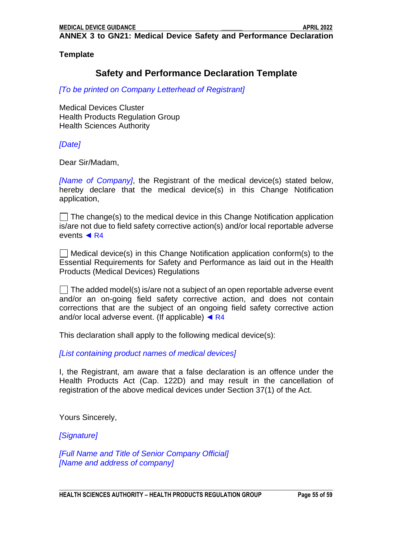<span id="page-54-0"></span>**ANNEX 3 to GN21: Medical Device Safety and Performance Declaration** 

**Template**

# **Safety and Performance Declaration Template**

*[To be printed on Company Letterhead of Registrant]*

Medical Devices Cluster Health Products Regulation Group Health Sciences Authority

*[Date]*

Dear Sir/Madam,

*[Name of Company]*, the Registrant of the medical device(s) stated below, hereby declare that the medical device(s) in this Change Notification application,

 $\Box$  The change(s) to the medical device in this Change Notification application is/are not due to field safety corrective action(s) and/or local reportable adverse events **◄** R4

 $\Box$  Medical device(s) in this Change Notification application conform(s) to the Essential Requirements for Safety and Performance as laid out in the Health Products (Medical Devices) Regulations

 $\Box$  The added model(s) is/are not a subject of an open reportable adverse event and/or an on-going field safety corrective action, and does not contain corrections that are the subject of an ongoing field safety corrective action and/or local adverse event. (If applicable) **◄** R4

This declaration shall apply to the following medical device(s):

*[List containing product names of medical devices]*

I, the Registrant, am aware that a false declaration is an offence under the Health Products Act (Cap. 122D) and may result in the cancellation of registration of the above medical devices under Section 37(1) of the Act.

Yours Sincerely,

*[Signature]*

*[Full Name and Title of Senior Company Official] [Name and address of company]*

**\_\_\_\_\_\_\_\_\_\_\_\_\_\_\_\_\_\_\_\_\_\_\_\_\_\_\_\_\_\_\_\_\_\_\_\_\_\_\_\_\_\_\_\_\_\_\_\_\_\_\_\_\_\_\_\_\_\_\_\_\_\_\_\_\_\_\_\_\_\_\_\_\_\_\_\_\_\_\_\_\_\_\_\_\_\_\_\_\_\_\_ HEALTH SCIENCES AUTHORITY – HEALTH PRODUCTS REGULATION GROUP Page 55 of 59**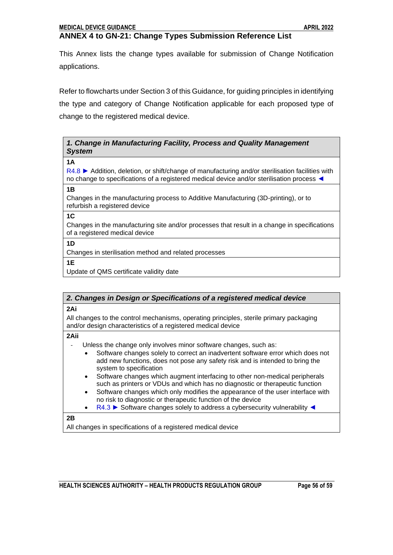# <span id="page-55-0"></span>**ANNEX 4 to GN-21: Change Types Submission Reference List**

This Annex lists the change types available for submission of Change Notification applications.

Refer to flowcharts under Section 3 of this Guidance, for guiding principles in identifying the type and category of Change Notification applicable for each proposed type of change to the registered medical device.

#### *1. Change in Manufacturing Facility, Process and Quality Management System*

**1A**

R4.8 ► Addition, deletion, or shift/change of manufacturing and/or sterilisation facilities with no change to specifications of a registered medical device and/or sterilisation process ◄

**1B**

Changes in the manufacturing process to Additive Manufacturing (3D-printing), or to refurbish a registered device

**1C**

Changes in the manufacturing site and/or processes that result in a change in specifications of a registered medical device

**1D**

Changes in sterilisation method and related processes

**1E** 

Update of QMS certificate validity date

# *2. Changes in Design or Specifications of a registered medical device*

**2Ai**

All changes to the control mechanisms, operating principles, sterile primary packaging and/or design characteristics of a registered medical device

**2Aii**

Unless the change only involves minor software changes, such as:

- Software changes solely to correct an inadvertent software error which does not add new functions, does not pose any safety risk and is intended to bring the system to specification
	- Software changes which augment interfacing to other non-medical peripherals such as printers or VDUs and which has no diagnostic or therapeutic function
	- Software changes which only modifies the appearance of the user interface with no risk to diagnostic or therapeutic function of the device
- R4.3 ► Software changes solely to address a cybersecurity vulnerability ◄

**2B**

All changes in specifications of a registered medical device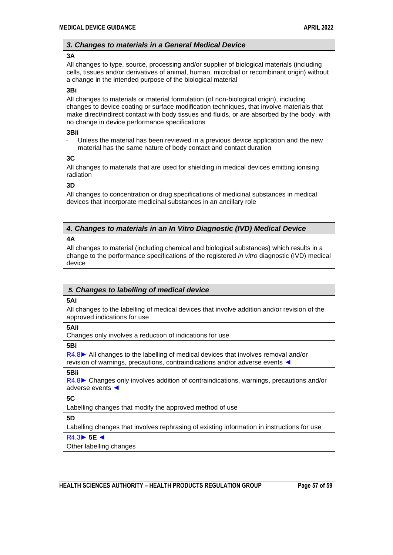#### *3. Changes to materials in a General Medical Device*

#### **3A**

All changes to type, source, processing and/or supplier of biological materials (including cells, tissues and/or derivatives of animal, human, microbial or recombinant origin) without a change in the intended purpose of the biological material

#### **3Bi**

All changes to materials or material formulation (of non-biological origin), including changes to device coating or surface modification techniques, that involve materials that make direct/indirect contact with body tissues and fluids, or are absorbed by the body, with no change in device performance specifications

#### **3Bii**

Unless the material has been reviewed in a previous device application and the new material has the same nature of body contact and contact duration

#### **3C**

All changes to materials that are used for shielding in medical devices emitting ionising radiation

**3D**

All changes to concentration or drug specifications of medicinal substances in medical devices that incorporate medicinal substances in an ancillary role

### *4. Changes to materials in an In Vitro Diagnostic (IVD) Medical Device*

#### **4A**

All changes to material (including chemical and biological substances) which results in a change to the performance specifications of the registered *in vitro* diagnostic (IVD) medical device

#### *5. Changes to labelling of medical device*

**5Ai**

All changes to the labelling of medical devices that involve addition and/or revision of the approved indications for use

**5Aii**

Changes only involves a reduction of indications for use

**5Bi**

R4.8**►** All changes to the labelling of medical devices that involves removal and/or revision of warnings, precautions, contraindications and/or adverse events ◄

#### **5Bii**

R4.8**►** Changes only involves addition of contraindications, warnings, precautions and/or adverse events ◄

**5C**

Labelling changes that modify the approved method of use

#### **5D**

Labelling changes that involves rephrasing of existing information in instructions for use

#### R4.3► **5E ◄**

Other labelling changes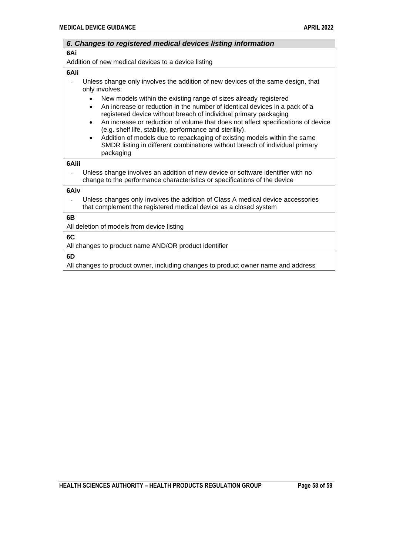| 6. Changes to registered medical devices listing information                                                                                                                                                                                                                                                                                                                                                                                                                                                                                                                      |
|-----------------------------------------------------------------------------------------------------------------------------------------------------------------------------------------------------------------------------------------------------------------------------------------------------------------------------------------------------------------------------------------------------------------------------------------------------------------------------------------------------------------------------------------------------------------------------------|
| 6Ai                                                                                                                                                                                                                                                                                                                                                                                                                                                                                                                                                                               |
| Addition of new medical devices to a device listing                                                                                                                                                                                                                                                                                                                                                                                                                                                                                                                               |
| 6Aii                                                                                                                                                                                                                                                                                                                                                                                                                                                                                                                                                                              |
| Unless change only involves the addition of new devices of the same design, that<br>only involves:                                                                                                                                                                                                                                                                                                                                                                                                                                                                                |
| New models within the existing range of sizes already registered<br>An increase or reduction in the number of identical devices in a pack of a<br>$\bullet$<br>registered device without breach of individual primary packaging<br>An increase or reduction of volume that does not affect specifications of device<br>$\bullet$<br>(e.g. shelf life, stability, performance and sterility).<br>Addition of models due to repackaging of existing models within the same<br>$\bullet$<br>SMDR listing in different combinations without breach of individual primary<br>packaging |
| 6Aiii                                                                                                                                                                                                                                                                                                                                                                                                                                                                                                                                                                             |
| Unless change involves an addition of new device or software identifier with no<br>change to the performance characteristics or specifications of the device                                                                                                                                                                                                                                                                                                                                                                                                                      |
| 6Aiv                                                                                                                                                                                                                                                                                                                                                                                                                                                                                                                                                                              |
| Unless changes only involves the addition of Class A medical device accessories<br>that complement the registered medical device as a closed system                                                                                                                                                                                                                                                                                                                                                                                                                               |
| 6B                                                                                                                                                                                                                                                                                                                                                                                                                                                                                                                                                                                |
| All deletion of models from device listing                                                                                                                                                                                                                                                                                                                                                                                                                                                                                                                                        |
| 6C                                                                                                                                                                                                                                                                                                                                                                                                                                                                                                                                                                                |
| All changes to product name AND/OR product identifier                                                                                                                                                                                                                                                                                                                                                                                                                                                                                                                             |
| 6D                                                                                                                                                                                                                                                                                                                                                                                                                                                                                                                                                                                |
| All changes to product owner, including changes to product owner name and address                                                                                                                                                                                                                                                                                                                                                                                                                                                                                                 |